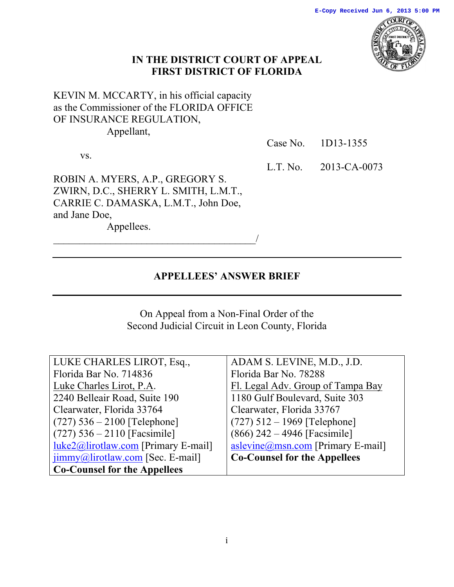

### **IN THE DISTRICT COURT OF APPEAL FIRST DISTRICT OF FLORIDA**

# KEVIN M. MCCARTY, in his official capacity as the Commissioner of the FLORIDA OFFICE OF INSURANCE REGULATION, Appellant,

vs.

Case No. 1D13-1355

ROBIN A. MYERS, A.P., GREGORY S. ZWIRN, D.C., SHERRY L. SMITH, L.M.T., CARRIE C. DAMASKA, L.M.T., John Doe, and Jane Doe,

 $\overline{\phantom{a}}$ 

Appellees.

L.T. No. 2013-CA-0073

### **APPELLEES' ANSWER BRIEF**

On Appeal from a Non-Final Order of the Second Judicial Circuit in Leon County, Florida

| LUKE CHARLES LIROT, Esq.,                             | ADAM S. LEVINE, M.D., J.D.          |
|-------------------------------------------------------|-------------------------------------|
| Florida Bar No. 714836                                | Florida Bar No. 78288               |
| Luke Charles Lirot, P.A.                              | Fl. Legal Adv. Group of Tampa Bay   |
| 2240 Belleair Road, Suite 190                         | 1180 Gulf Boulevard, Suite 303      |
| Clearwater, Florida 33764                             | Clearwater, Florida 33767           |
| $(727)$ 536 – 2100 [Telephone]                        | $(727)$ 512 – 1969 [Telephone]      |
| $(727)$ 536 – 2110 [Facsimile]                        | $(866)$ 242 – 4946 [Facsimile]      |
| $luke2@lirotlaw.com$ [Primary E-mail]                 | aslevine@msn.com [Primary E-mail]   |
| $\overline{\text{jimmy}}$ @lirotlaw.com [Sec. E-mail] | <b>Co-Counsel for the Appellees</b> |
| <b>Co-Counsel for the Appellees</b>                   |                                     |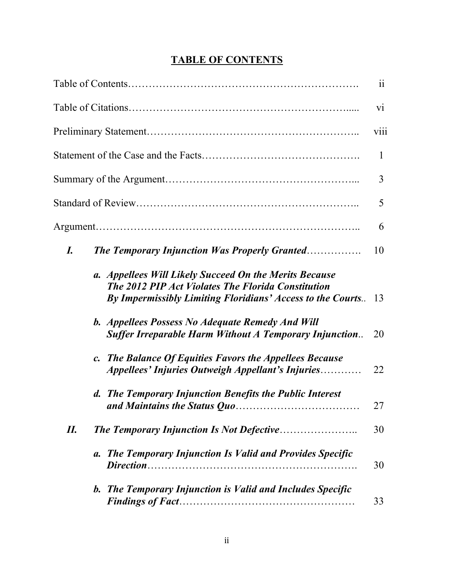# **TABLE OF CONTENTS**

|     |                                                                                                                                                                                   | $\ddot{\rm{11}}$ |
|-----|-----------------------------------------------------------------------------------------------------------------------------------------------------------------------------------|------------------|
|     |                                                                                                                                                                                   | $\overline{vi}$  |
|     |                                                                                                                                                                                   | viii             |
|     |                                                                                                                                                                                   | $\mathbf{1}$     |
|     |                                                                                                                                                                                   | 3                |
|     |                                                                                                                                                                                   | 5                |
|     |                                                                                                                                                                                   | 6                |
| I.  | <b>The Temporary Injunction Was Properly Granted</b>                                                                                                                              | 10               |
|     | a. Appellees Will Likely Succeed On the Merits Because<br><b>The 2012 PIP Act Violates The Florida Constitution</b><br>By Impermissibly Limiting Floridians' Access to the Courts | 13               |
|     | b. Appellees Possess No Adequate Remedy And Will<br><b>Suffer Irreparable Harm Without A Temporary Injunction</b>                                                                 | 20               |
|     | c. The Balance Of Equities Favors the Appellees Because<br>Appellees' Injuries Outweigh Appellant's Injuries                                                                      | 22               |
|     | d. The Temporary Injunction Benefits the Public Interest                                                                                                                          | 27               |
| II. | <b>The Temporary Injunction Is Not Defective</b>                                                                                                                                  | 30               |
|     | a. The Temporary Injunction Is Valid and Provides Specific                                                                                                                        | 30               |
|     | b. The Temporary Injunction is Valid and Includes Specific                                                                                                                        | 33               |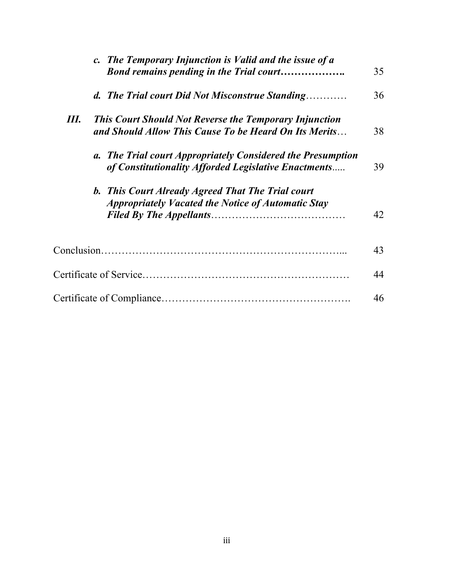|    | c. The Temporary Injunction is Valid and the issue of a<br>Bond remains pending in the Trial court                     | 35 |
|----|------------------------------------------------------------------------------------------------------------------------|----|
|    | d. The Trial court Did Not Misconstrue Standing                                                                        | 36 |
| Ш. | <b>This Court Should Not Reverse the Temporary Injunction</b><br>and Should Allow This Cause To be Heard On Its Merits | 38 |
|    | a. The Trial court Appropriately Considered the Presumption<br>of Constitutionality Afforded Legislative Enactments    | 39 |
|    | b. This Court Already Agreed That The Trial court<br><b>Appropriately Vacated the Notice of Automatic Stay</b>         | 42 |
|    |                                                                                                                        | 43 |
|    |                                                                                                                        | 44 |
|    |                                                                                                                        | 46 |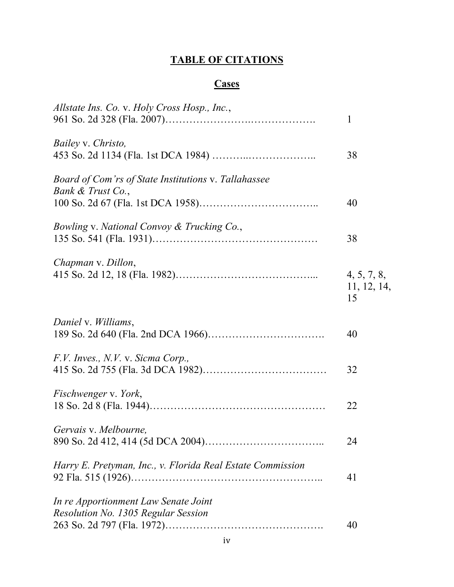# **TABLE OF CITATIONS**

# **Cases**

| Allstate Ins. Co. v. Holy Cross Hosp., Inc.,                                | $\mathbf{1}$                     |
|-----------------------------------------------------------------------------|----------------------------------|
| Bailey v. Christo,                                                          | 38                               |
| Board of Com'rs of State Institutions v. Tallahassee<br>Bank & Trust Co.,   | 40                               |
| Bowling v. National Convoy & Trucking Co.,                                  | 38                               |
| Chapman v. Dillon,                                                          | 4, 5, 7, 8,<br>11, 12, 14,<br>15 |
| Daniel v. Williams,                                                         | 40                               |
| F.V. Inves., N.V. v. Sicma Corp.,                                           | 32                               |
| Fischwenger v. York,                                                        | 22                               |
| Gervais v. Melbourne,                                                       | 24                               |
| Harry E. Pretyman, Inc., v. Florida Real Estate Commission                  | 41                               |
| In re Apportionment Law Senate Joint<br>Resolution No. 1305 Regular Session | 40                               |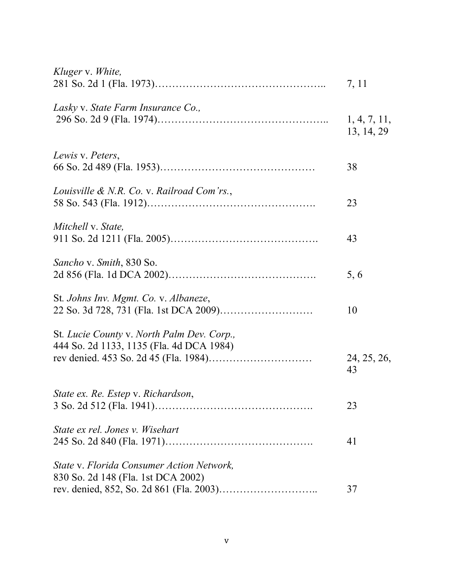| Kluger v. White,                                                                       | 7, 11                      |
|----------------------------------------------------------------------------------------|----------------------------|
| Lasky v. State Farm Insurance Co.,                                                     | 1, 4, 7, 11,<br>13, 14, 29 |
| Lewis v. Peters,                                                                       | 38                         |
| Louisville & N.R. Co. v. Railroad Com'rs.,                                             | 23                         |
| Mitchell v. State,                                                                     | 43                         |
| Sancho v. Smith, 830 So.                                                               | 5, 6                       |
| St. Johns Inv. Mgmt. Co. v. Albaneze,                                                  | 10                         |
| St. Lucie County v. North Palm Dev. Corp.,<br>444 So. 2d 1133, 1135 (Fla. 4d DCA 1984) | 24, 25, 26,<br>43          |
| State ex. Re. Estep v. Richardson,                                                     | 23                         |
| State ex rel. Jones v. Wisehart                                                        | 41                         |
| State v. Florida Consumer Action Network,<br>830 So. 2d 148 (Fla. 1st DCA 2002)        | 37                         |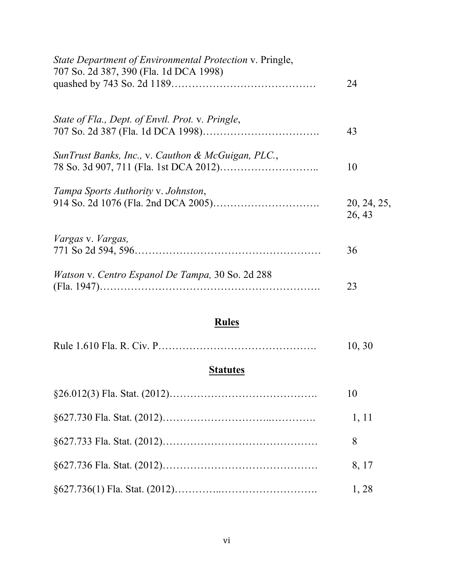| State Department of Environmental Protection v. Pringle,<br>707 So. 2d 387, 390 (Fla. 1d DCA 1998) | 24                    |
|----------------------------------------------------------------------------------------------------|-----------------------|
| State of Fla., Dept. of Envtl. Prot. v. Pringle,                                                   | 43                    |
| SunTrust Banks, Inc., v. Cauthon & McGuigan, PLC.,                                                 | 10                    |
| Tampa Sports Authority v. Johnston,                                                                | 20, 24, 25,<br>26, 43 |
| <i>Vargas v. Vargas,</i>                                                                           | 36                    |
| Watson v. Centro Espanol De Tampa, 30 So. 2d 288                                                   | 23                    |

# **Rules**

|  | 10, 30 |  |
|--|--------|--|
|--|--------|--|

# **Statutes**

| 10    |
|-------|
| 1, 11 |
| 8     |
| 8, 17 |
| 1, 28 |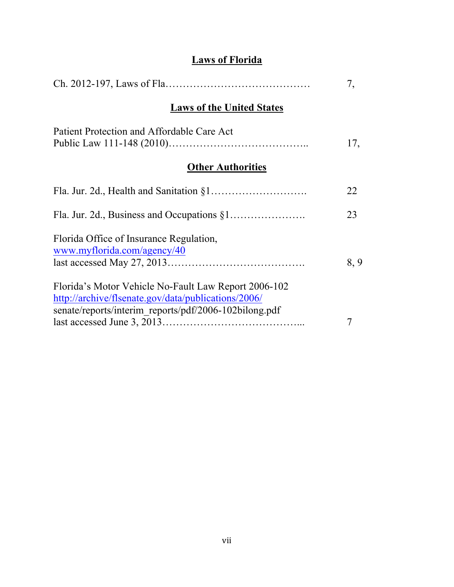# **Laws of Florida**

|                                                                                                                                                                      | 7,  |
|----------------------------------------------------------------------------------------------------------------------------------------------------------------------|-----|
| <b>Laws of the United States</b>                                                                                                                                     |     |
| Patient Protection and Affordable Care Act                                                                                                                           | 17, |
| <b>Other Authorities</b>                                                                                                                                             |     |
|                                                                                                                                                                      | 22  |
|                                                                                                                                                                      | 23  |
| Florida Office of Insurance Regulation,<br>www.myflorida.com/agency/40                                                                                               | 8,9 |
| Florida's Motor Vehicle No-Fault Law Report 2006-102<br>http://archive/flsenate.gov/data/publications/2006/<br>senate/reports/interim reports/pdf/2006-102bilong.pdf | 7   |
|                                                                                                                                                                      |     |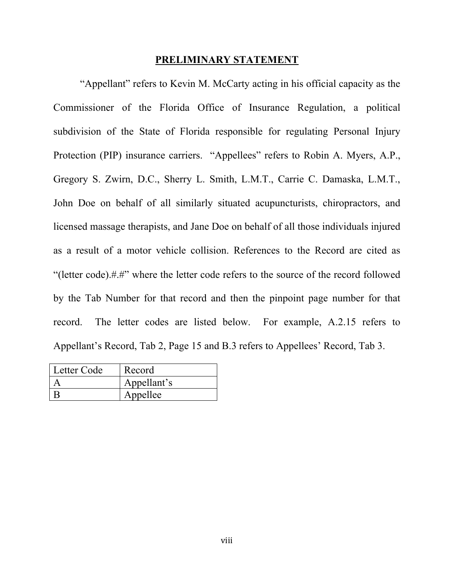#### **PRELIMINARY STATEMENT**

"Appellant" refers to Kevin M. McCarty acting in his official capacity as the Commissioner of the Florida Office of Insurance Regulation, a political subdivision of the State of Florida responsible for regulating Personal Injury Protection (PIP) insurance carriers. "Appellees" refers to Robin A. Myers, A.P., Gregory S. Zwirn, D.C., Sherry L. Smith, L.M.T., Carrie C. Damaska, L.M.T., John Doe on behalf of all similarly situated acupuncturists, chiropractors, and licensed massage therapists, and Jane Doe on behalf of all those individuals injured as a result of a motor vehicle collision. References to the Record are cited as "(letter code).#.#" where the letter code refers to the source of the record followed by the Tab Number for that record and then the pinpoint page number for that record. The letter codes are listed below. For example, A.2.15 refers to Appellant's Record, Tab 2, Page 15 and B.3 refers to Appellees' Record, Tab 3.

| Letter Code | Record      |
|-------------|-------------|
|             | Appellant's |
|             | Appellee    |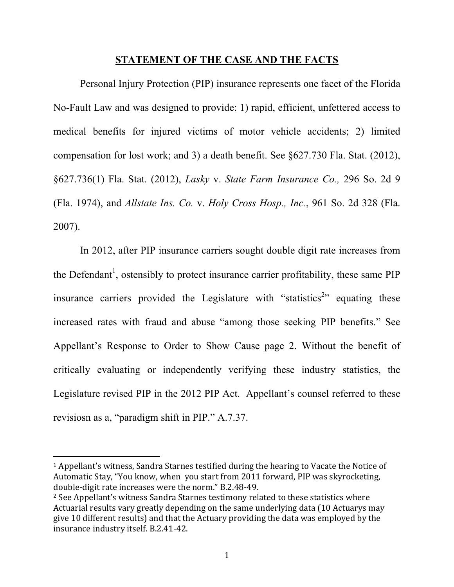#### **STATEMENT OF THE CASE AND THE FACTS**

Personal Injury Protection (PIP) insurance represents one facet of the Florida No-Fault Law and was designed to provide: 1) rapid, efficient, unfettered access to medical benefits for injured victims of motor vehicle accidents; 2) limited compensation for lost work; and 3) a death benefit. See §627.730 Fla. Stat. (2012), §627.736(1) Fla. Stat. (2012), *Lasky* v. *State Farm Insurance Co.,* 296 So. 2d 9 (Fla. 1974), and *Allstate Ins. Co.* v. *Holy Cross Hosp., Inc.*, 961 So. 2d 328 (Fla. 2007).

In 2012, after PIP insurance carriers sought double digit rate increases from the Defendant<sup>1</sup>, ostensibly to protect insurance carrier profitability, these same PIP insurance carriers provided the Legislature with "statistics<sup>2</sup>" equating these increased rates with fraud and abuse "among those seeking PIP benefits." See Appellant's Response to Order to Show Cause page 2. Without the benefit of critically evaluating or independently verifying these industry statistics, the Legislature revised PIP in the 2012 PIP Act. Appellant's counsel referred to these revisiosn as a, "paradigm shift in PIP." A.7.37.

<sup>&</sup>lt;sup>1</sup> Appellant's witness, Sandra Starnes testified during the hearing to Vacate the Notice of Automatic Stay, "You know, when you start from 2011 forward, PIP was skyrocketing, double-digit rate increases were the norm." B.2.48-49.

<sup>&</sup>lt;sup>2</sup> See Appellant's witness Sandra Starnes testimony related to these statistics where Actuarial results vary greatly depending on the same underlying data (10 Actuarys may give 10 different results) and that the Actuary providing the data was employed by the insurance industry itself. B.2.41-42.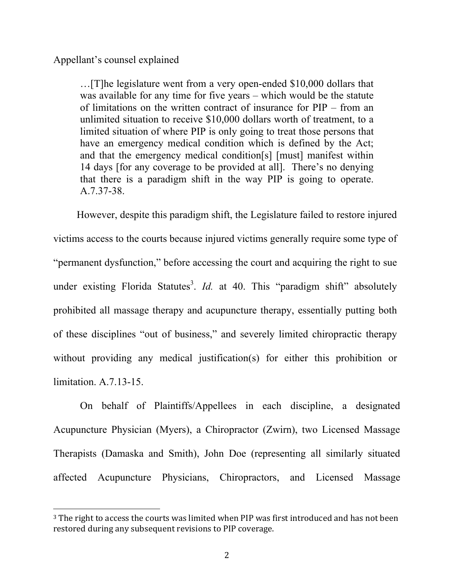Appellant's counsel explained

 

…[T]he legislature went from a very open-ended \$10,000 dollars that was available for any time for five years – which would be the statute of limitations on the written contract of insurance for PIP – from an unlimited situation to receive \$10,000 dollars worth of treatment, to a limited situation of where PIP is only going to treat those persons that have an emergency medical condition which is defined by the Act; and that the emergency medical condition[s] [must] manifest within 14 days [for any coverage to be provided at all]. There's no denying that there is a paradigm shift in the way PIP is going to operate. A.7.37-38.

 However, despite this paradigm shift, the Legislature failed to restore injured victims access to the courts because injured victims generally require some type of "permanent dysfunction," before accessing the court and acquiring the right to sue under existing Florida Statutes<sup>3</sup>. *Id.* at 40. This "paradigm shift" absolutely prohibited all massage therapy and acupuncture therapy, essentially putting both of these disciplines "out of business," and severely limited chiropractic therapy without providing any medical justification(s) for either this prohibition or limitation. A.7.13-15.

On behalf of Plaintiffs/Appellees in each discipline, a designated Acupuncture Physician (Myers), a Chiropractor (Zwirn), two Licensed Massage Therapists (Damaska and Smith), John Doe (representing all similarly situated affected Acupuncture Physicians, Chiropractors, and Licensed Massage

<sup>&</sup>lt;sup>3</sup> The right to access the courts was limited when PIP was first introduced and has not been restored during any subsequent revisions to PIP coverage.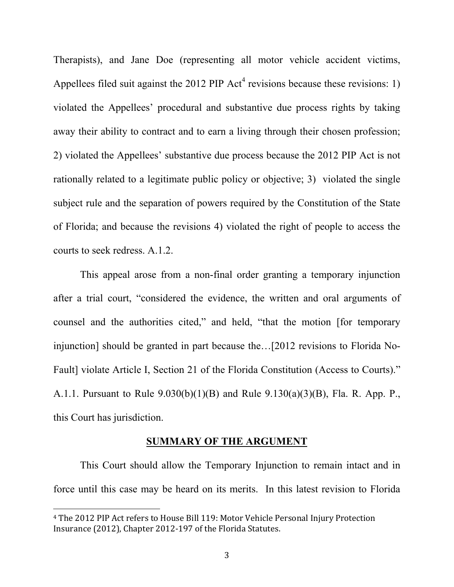Therapists), and Jane Doe (representing all motor vehicle accident victims, Appellees filed suit against the 2012 PIP  $Act<sup>4</sup>$  revisions because these revisions: 1) violated the Appellees' procedural and substantive due process rights by taking away their ability to contract and to earn a living through their chosen profession; 2) violated the Appellees' substantive due process because the 2012 PIP Act is not rationally related to a legitimate public policy or objective; 3) violated the single subject rule and the separation of powers required by the Constitution of the State of Florida; and because the revisions 4) violated the right of people to access the courts to seek redress. A.1.2.

This appeal arose from a non-final order granting a temporary injunction after a trial court, "considered the evidence, the written and oral arguments of counsel and the authorities cited," and held, "that the motion [for temporary injunction] should be granted in part because the…[2012 revisions to Florida No-Fault] violate Article I, Section 21 of the Florida Constitution (Access to Courts)." A.1.1. Pursuant to Rule 9.030(b)(1)(B) and Rule 9.130(a)(3)(B), Fla. R. App. P., this Court has jurisdiction.

#### **SUMMARY OF THE ARGUMENT**

This Court should allow the Temporary Injunction to remain intact and in force until this case may be heard on its merits. In this latest revision to Florida

<sup>&</sup>lt;sup>4</sup> The 2012 PIP Act refers to House Bill 119: Motor Vehicle Personal Injury Protection Insurance (2012), Chapter 2012-197 of the Florida Statutes.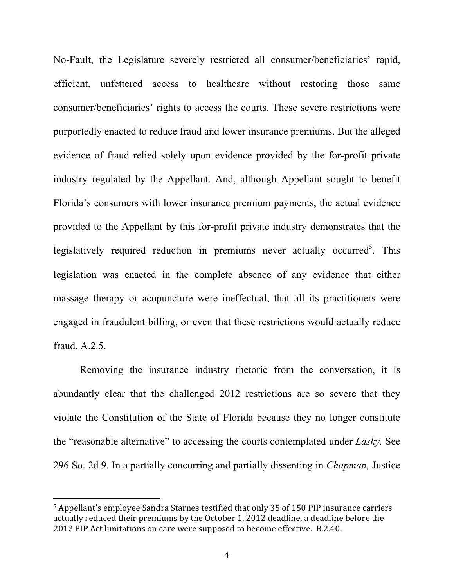No-Fault, the Legislature severely restricted all consumer/beneficiaries' rapid, efficient, unfettered access to healthcare without restoring those same consumer/beneficiaries' rights to access the courts. These severe restrictions were purportedly enacted to reduce fraud and lower insurance premiums. But the alleged evidence of fraud relied solely upon evidence provided by the for-profit private industry regulated by the Appellant. And, although Appellant sought to benefit Florida's consumers with lower insurance premium payments, the actual evidence provided to the Appellant by this for-profit private industry demonstrates that the legislatively required reduction in premiums never actually occurred<sup>5</sup>. This legislation was enacted in the complete absence of any evidence that either massage therapy or acupuncture were ineffectual, that all its practitioners were engaged in fraudulent billing, or even that these restrictions would actually reduce fraud. A.2.5.

Removing the insurance industry rhetoric from the conversation, it is abundantly clear that the challenged 2012 restrictions are so severe that they violate the Constitution of the State of Florida because they no longer constitute the "reasonable alternative" to accessing the courts contemplated under *Lasky.* See 296 So. 2d 9. In a partially concurring and partially dissenting in *Chapman,* Justice

<sup>&</sup>lt;sup>5</sup> Appellant's employee Sandra Starnes testified that only 35 of 150 PIP insurance carriers actually reduced their premiums by the October 1, 2012 deadline, a deadline before the 2012 PIP Act limitations on care were supposed to become effective. B.2.40.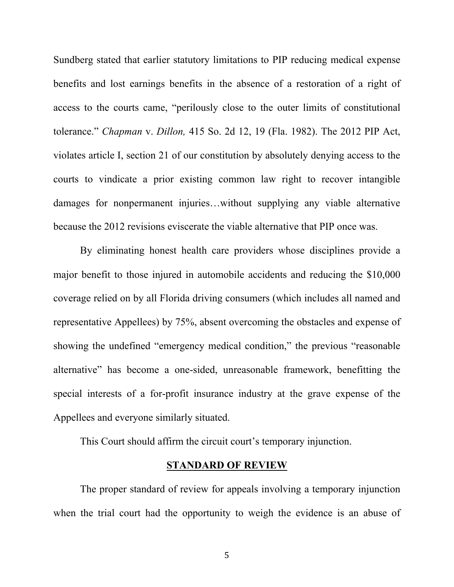Sundberg stated that earlier statutory limitations to PIP reducing medical expense benefits and lost earnings benefits in the absence of a restoration of a right of access to the courts came, "perilously close to the outer limits of constitutional tolerance." *Chapman* v. *Dillon,* 415 So. 2d 12, 19 (Fla. 1982). The 2012 PIP Act, violates article I, section 21 of our constitution by absolutely denying access to the courts to vindicate a prior existing common law right to recover intangible damages for nonpermanent injuries…without supplying any viable alternative because the 2012 revisions eviscerate the viable alternative that PIP once was.

By eliminating honest health care providers whose disciplines provide a major benefit to those injured in automobile accidents and reducing the \$10,000 coverage relied on by all Florida driving consumers (which includes all named and representative Appellees) by 75%, absent overcoming the obstacles and expense of showing the undefined "emergency medical condition," the previous "reasonable alternative" has become a one-sided, unreasonable framework, benefitting the special interests of a for-profit insurance industry at the grave expense of the Appellees and everyone similarly situated.

This Court should affirm the circuit court's temporary injunction.

#### **STANDARD OF REVIEW**

The proper standard of review for appeals involving a temporary injunction when the trial court had the opportunity to weigh the evidence is an abuse of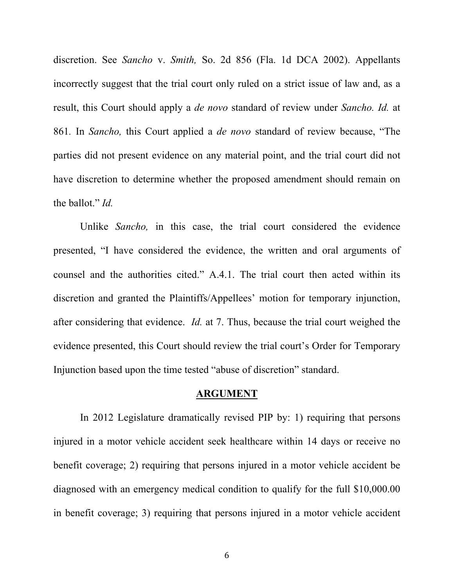discretion. See *Sancho* v. *Smith,* So. 2d 856 (Fla. 1d DCA 2002). Appellants incorrectly suggest that the trial court only ruled on a strict issue of law and, as a result, this Court should apply a *de novo* standard of review under *Sancho. Id.* at 861*.* In *Sancho,* this Court applied a *de novo* standard of review because, "The parties did not present evidence on any material point, and the trial court did not have discretion to determine whether the proposed amendment should remain on the ballot." *Id.* 

Unlike *Sancho,* in this case, the trial court considered the evidence presented, "I have considered the evidence, the written and oral arguments of counsel and the authorities cited." A.4.1. The trial court then acted within its discretion and granted the Plaintiffs/Appellees' motion for temporary injunction, after considering that evidence. *Id.* at 7. Thus, because the trial court weighed the evidence presented, this Court should review the trial court's Order for Temporary Injunction based upon the time tested "abuse of discretion" standard.

### **ARGUMENT**

In 2012 Legislature dramatically revised PIP by: 1) requiring that persons injured in a motor vehicle accident seek healthcare within 14 days or receive no benefit coverage; 2) requiring that persons injured in a motor vehicle accident be diagnosed with an emergency medical condition to qualify for the full \$10,000.00 in benefit coverage; 3) requiring that persons injured in a motor vehicle accident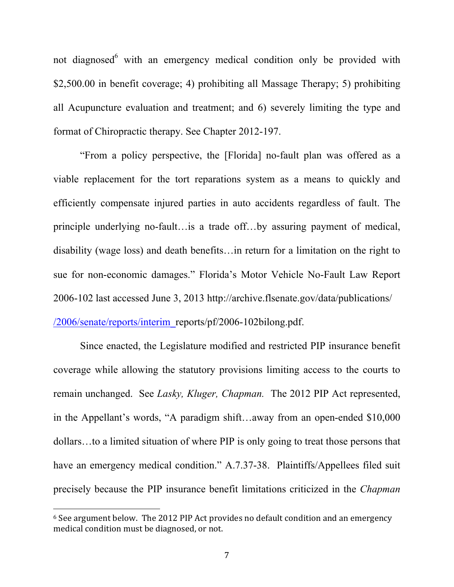not diagnosed<sup>6</sup> with an emergency medical condition only be provided with \$2,500.00 in benefit coverage; 4) prohibiting all Massage Therapy; 5) prohibiting all Acupuncture evaluation and treatment; and 6) severely limiting the type and format of Chiropractic therapy. See Chapter 2012-197.

"From a policy perspective, the [Florida] no-fault plan was offered as a viable replacement for the tort reparations system as a means to quickly and efficiently compensate injured parties in auto accidents regardless of fault. The principle underlying no-fault…is a trade off…by assuring payment of medical, disability (wage loss) and death benefits…in return for a limitation on the right to sue for non-economic damages." Florida's Motor Vehicle No-Fault Law Report 2006-102 last accessed June 3, 2013 http://archive.flsenate.gov/data/publications/ /2006/senate/reports/interim\_reports/pf/2006-102bilong.pdf.

Since enacted, the Legislature modified and restricted PIP insurance benefit coverage while allowing the statutory provisions limiting access to the courts to remain unchanged. See *Lasky, Kluger, Chapman.* The 2012 PIP Act represented, in the Appellant's words, "A paradigm shift…away from an open-ended \$10,000 dollars…to a limited situation of where PIP is only going to treat those persons that have an emergency medical condition." A.7.37-38. Plaintiffs/Appellees filed suit precisely because the PIP insurance benefit limitations criticized in the *Chapman* 

 $6$  See argument below. The 2012 PIP Act provides no default condition and an emergency medical condition must be diagnosed, or not.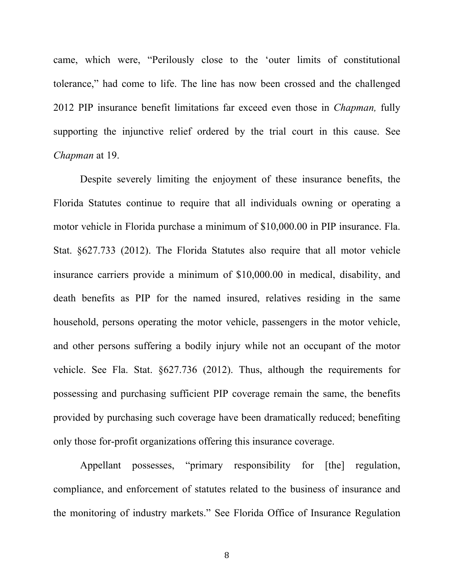came, which were, "Perilously close to the 'outer limits of constitutional tolerance," had come to life. The line has now been crossed and the challenged 2012 PIP insurance benefit limitations far exceed even those in *Chapman,* fully supporting the injunctive relief ordered by the trial court in this cause. See *Chapman* at 19.

Despite severely limiting the enjoyment of these insurance benefits, the Florida Statutes continue to require that all individuals owning or operating a motor vehicle in Florida purchase a minimum of \$10,000.00 in PIP insurance. Fla. Stat. §627.733 (2012). The Florida Statutes also require that all motor vehicle insurance carriers provide a minimum of \$10,000.00 in medical, disability, and death benefits as PIP for the named insured, relatives residing in the same household, persons operating the motor vehicle, passengers in the motor vehicle, and other persons suffering a bodily injury while not an occupant of the motor vehicle. See Fla. Stat. §627.736 (2012). Thus, although the requirements for possessing and purchasing sufficient PIP coverage remain the same, the benefits provided by purchasing such coverage have been dramatically reduced; benefiting only those for-profit organizations offering this insurance coverage.

Appellant possesses, "primary responsibility for [the] regulation, compliance, and enforcement of statutes related to the business of insurance and the monitoring of industry markets." See Florida Office of Insurance Regulation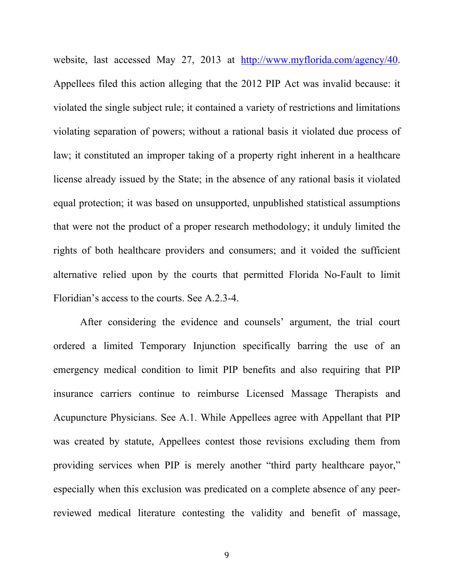website, last accessed May 27, 2013 at http://www.myflorida.com/agency/40. Appellees filed this action alleging that the 2012 PIP Act was invalid because: it violated the single subject rule; it contained a variety of restrictions and limitations violating separation of powers; without a rational basis it violated due process of law; it constituted an improper taking of a property right inherent in a healthcare license already issued by the State; in the absence of any rational basis it violated equal protection; it was based on unsupported, unpublished statistical assumptions that were not the product of a proper research methodology; it unduly limited the rights of both healthcare providers and consumers; and it voided the sufficient alternative relied upon by the courts that permitted Florida No-Fault to limit Floridian's access to the courts. See A.2.3-4.

After considering the evidence and counsels' argument, the trial court ordered a limited Temporary Injunction specifically barring the use of an emergency medical condition to limit PIP benefits and also requiring that PIP insurance carriers continue to reimburse Licensed Massage Therapists and Acupuncture Physicians. See A.1. While Appellees agree with Appellant that PIP was created by statute, Appellees contest those revisions excluding them from providing services when PIP is merely another "third party healthcare payor," especially when this exclusion was predicated on a complete absence of any peerreviewed medical literature contesting the validity and benefit of massage,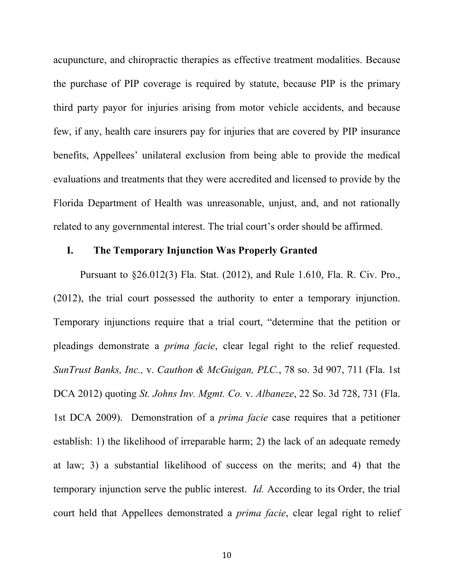acupuncture, and chiropractic therapies as effective treatment modalities. Because the purchase of PIP coverage is required by statute, because PIP is the primary third party payor for injuries arising from motor vehicle accidents, and because few, if any, health care insurers pay for injuries that are covered by PIP insurance benefits, Appellees' unilateral exclusion from being able to provide the medical evaluations and treatments that they were accredited and licensed to provide by the Florida Department of Health was unreasonable, unjust, and, and not rationally related to any governmental interest. The trial court's order should be affirmed.

#### **I. The Temporary Injunction Was Properly Granted**

Pursuant to §26.012(3) Fla. Stat. (2012), and Rule 1.610, Fla. R. Civ. Pro., (2012), the trial court possessed the authority to enter a temporary injunction. Temporary injunctions require that a trial court, "determine that the petition or pleadings demonstrate a *prima facie*, clear legal right to the relief requested. *SunTrust Banks, Inc.,* v. *Cauthon & McGuigan, PLC.*, 78 so. 3d 907, 711 (Fla. 1st DCA 2012) quoting *St. Johns Inv. Mgmt. Co.* v. *Albaneze*, 22 So. 3d 728, 731 (Fla. 1st DCA 2009). Demonstration of a *prima facie* case requires that a petitioner establish: 1) the likelihood of irreparable harm; 2) the lack of an adequate remedy at law; 3) a substantial likelihood of success on the merits; and 4) that the temporary injunction serve the public interest. *Id.* According to its Order, the trial court held that Appellees demonstrated a *prima facie*, clear legal right to relief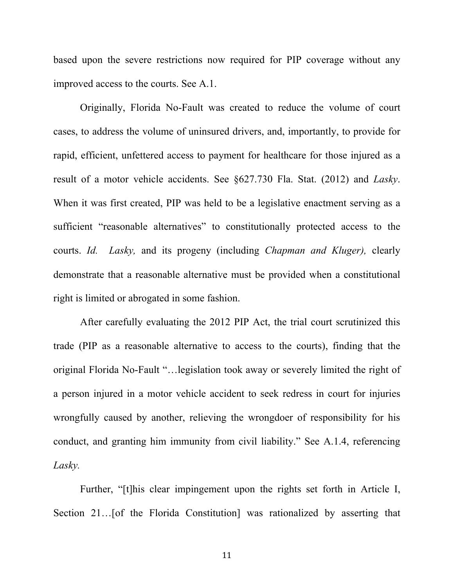based upon the severe restrictions now required for PIP coverage without any improved access to the courts. See A.1.

Originally, Florida No-Fault was created to reduce the volume of court cases, to address the volume of uninsured drivers, and, importantly, to provide for rapid, efficient, unfettered access to payment for healthcare for those injured as a result of a motor vehicle accidents. See §627.730 Fla. Stat. (2012) and *Lasky*. When it was first created, PIP was held to be a legislative enactment serving as a sufficient "reasonable alternatives" to constitutionally protected access to the courts. *Id. Lasky,* and its progeny (including *Chapman and Kluger),* clearly demonstrate that a reasonable alternative must be provided when a constitutional right is limited or abrogated in some fashion.

After carefully evaluating the 2012 PIP Act, the trial court scrutinized this trade (PIP as a reasonable alternative to access to the courts), finding that the original Florida No-Fault "…legislation took away or severely limited the right of a person injured in a motor vehicle accident to seek redress in court for injuries wrongfully caused by another, relieving the wrongdoer of responsibility for his conduct, and granting him immunity from civil liability." See A.1.4, referencing *Lasky.* 

Further, "[t]his clear impingement upon the rights set forth in Article I, Section 21…[of the Florida Constitution] was rationalized by asserting that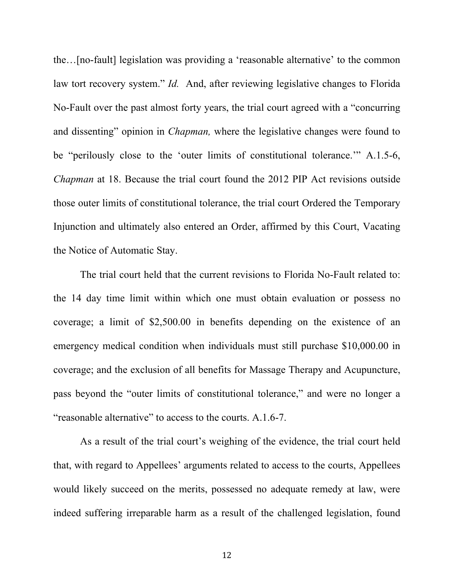the…[no-fault] legislation was providing a 'reasonable alternative' to the common law tort recovery system." *Id.* And, after reviewing legislative changes to Florida No-Fault over the past almost forty years, the trial court agreed with a "concurring and dissenting" opinion in *Chapman,* where the legislative changes were found to be "perilously close to the 'outer limits of constitutional tolerance.'" A.1.5-6, *Chapman* at 18. Because the trial court found the 2012 PIP Act revisions outside those outer limits of constitutional tolerance, the trial court Ordered the Temporary Injunction and ultimately also entered an Order, affirmed by this Court, Vacating the Notice of Automatic Stay.

The trial court held that the current revisions to Florida No-Fault related to: the 14 day time limit within which one must obtain evaluation or possess no coverage; a limit of \$2,500.00 in benefits depending on the existence of an emergency medical condition when individuals must still purchase \$10,000.00 in coverage; and the exclusion of all benefits for Massage Therapy and Acupuncture, pass beyond the "outer limits of constitutional tolerance," and were no longer a "reasonable alternative" to access to the courts. A.1.6-7.

As a result of the trial court's weighing of the evidence, the trial court held that, with regard to Appellees' arguments related to access to the courts, Appellees would likely succeed on the merits, possessed no adequate remedy at law, were indeed suffering irreparable harm as a result of the challenged legislation, found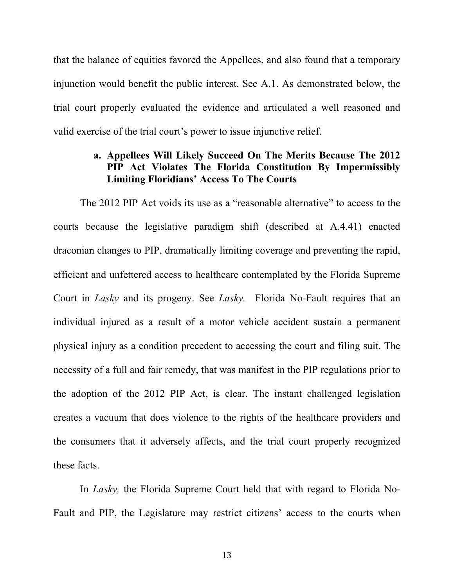that the balance of equities favored the Appellees, and also found that a temporary injunction would benefit the public interest. See A.1. As demonstrated below, the trial court properly evaluated the evidence and articulated a well reasoned and valid exercise of the trial court's power to issue injunctive relief.

## **a. Appellees Will Likely Succeed On The Merits Because The 2012 PIP Act Violates The Florida Constitution By Impermissibly Limiting Floridians' Access To The Courts**

The 2012 PIP Act voids its use as a "reasonable alternative" to access to the courts because the legislative paradigm shift (described at A.4.41) enacted draconian changes to PIP, dramatically limiting coverage and preventing the rapid, efficient and unfettered access to healthcare contemplated by the Florida Supreme Court in *Lasky* and its progeny. See *Lasky.* Florida No-Fault requires that an individual injured as a result of a motor vehicle accident sustain a permanent physical injury as a condition precedent to accessing the court and filing suit. The necessity of a full and fair remedy, that was manifest in the PIP regulations prior to the adoption of the 2012 PIP Act, is clear. The instant challenged legislation creates a vacuum that does violence to the rights of the healthcare providers and the consumers that it adversely affects, and the trial court properly recognized these facts.

In *Lasky,* the Florida Supreme Court held that with regard to Florida No-Fault and PIP, the Legislature may restrict citizens' access to the courts when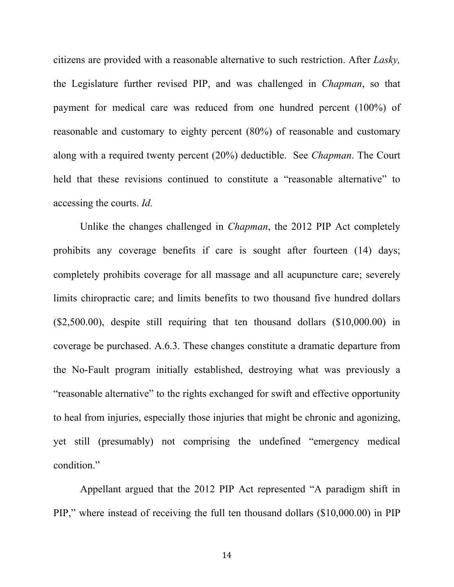citizens are provided with a reasonable alternative to such restriction. After *Lasky,*  the Legislature further revised PIP, and was challenged in *Chapman*, so that payment for medical care was reduced from one hundred percent (100%) of reasonable and customary to eighty percent (80%) of reasonable and customary along with a required twenty percent (20%) deductible. See *Chapman*. The Court held that these revisions continued to constitute a "reasonable alternative" to accessing the courts. *Id.*

Unlike the changes challenged in *Chapman*, the 2012 PIP Act completely prohibits any coverage benefits if care is sought after fourteen (14) days; completely prohibits coverage for all massage and all acupuncture care; severely limits chiropractic care; and limits benefits to two thousand five hundred dollars (\$2,500.00), despite still requiring that ten thousand dollars (\$10,000.00) in coverage be purchased. A.6.3. These changes constitute a dramatic departure from the No-Fault program initially established, destroying what was previously a "reasonable alternative" to the rights exchanged for swift and effective opportunity to heal from injuries, especially those injuries that might be chronic and agonizing, yet still (presumably) not comprising the undefined "emergency medical condition."

Appellant argued that the 2012 PIP Act represented "A paradigm shift in PIP," where instead of receiving the full ten thousand dollars (\$10,000.00) in PIP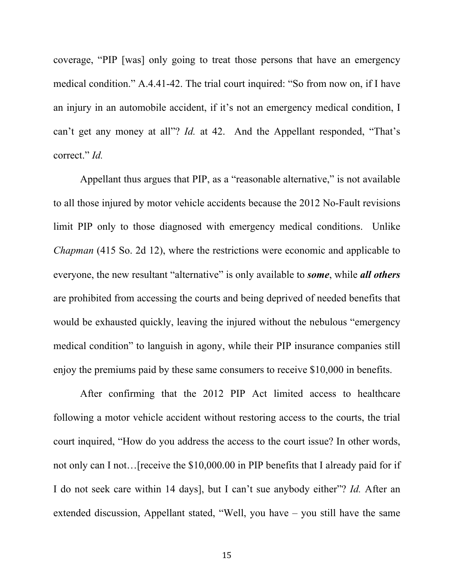coverage, "PIP [was] only going to treat those persons that have an emergency medical condition." A.4.41-42. The trial court inquired: "So from now on, if I have an injury in an automobile accident, if it's not an emergency medical condition, I can't get any money at all"? *Id.* at 42. And the Appellant responded, "That's correct." *Id.* 

Appellant thus argues that PIP, as a "reasonable alternative," is not available to all those injured by motor vehicle accidents because the 2012 No-Fault revisions limit PIP only to those diagnosed with emergency medical conditions. Unlike *Chapman* (415 So. 2d 12), where the restrictions were economic and applicable to everyone, the new resultant "alternative" is only available to *some*, while *all others* are prohibited from accessing the courts and being deprived of needed benefits that would be exhausted quickly, leaving the injured without the nebulous "emergency medical condition" to languish in agony, while their PIP insurance companies still enjoy the premiums paid by these same consumers to receive \$10,000 in benefits.

After confirming that the 2012 PIP Act limited access to healthcare following a motor vehicle accident without restoring access to the courts, the trial court inquired, "How do you address the access to the court issue? In other words, not only can I not…[receive the \$10,000.00 in PIP benefits that I already paid for if I do not seek care within 14 days], but I can't sue anybody either"? *Id.* After an extended discussion, Appellant stated, "Well, you have – you still have the same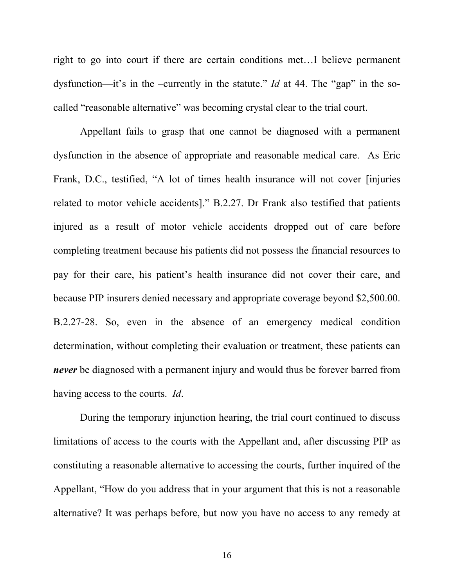right to go into court if there are certain conditions met…I believe permanent dysfunction—it's in the –currently in the statute." *Id* at 44. The "gap" in the socalled "reasonable alternative" was becoming crystal clear to the trial court.

Appellant fails to grasp that one cannot be diagnosed with a permanent dysfunction in the absence of appropriate and reasonable medical care. As Eric Frank, D.C., testified, "A lot of times health insurance will not cover [injuries related to motor vehicle accidents]." B.2.27. Dr Frank also testified that patients injured as a result of motor vehicle accidents dropped out of care before completing treatment because his patients did not possess the financial resources to pay for their care, his patient's health insurance did not cover their care, and because PIP insurers denied necessary and appropriate coverage beyond \$2,500.00. B.2.27-28. So, even in the absence of an emergency medical condition determination, without completing their evaluation or treatment, these patients can *never* be diagnosed with a permanent injury and would thus be forever barred from having access to the courts. *Id*.

During the temporary injunction hearing, the trial court continued to discuss limitations of access to the courts with the Appellant and, after discussing PIP as constituting a reasonable alternative to accessing the courts, further inquired of the Appellant, "How do you address that in your argument that this is not a reasonable alternative? It was perhaps before, but now you have no access to any remedy at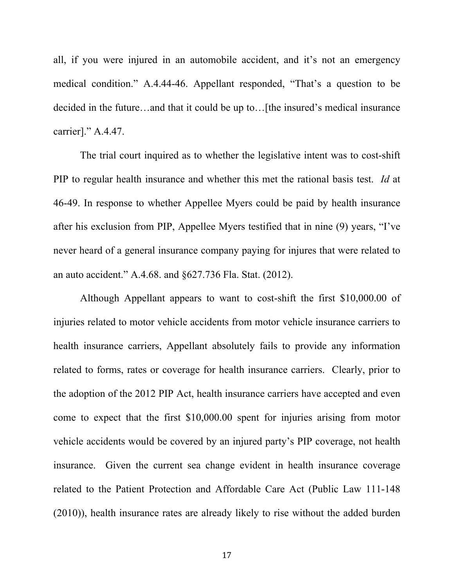all, if you were injured in an automobile accident, and it's not an emergency medical condition." A.4.44-46. Appellant responded, "That's a question to be decided in the future…and that it could be up to…[the insured's medical insurance carrier]." A.4.47.

The trial court inquired as to whether the legislative intent was to cost-shift PIP to regular health insurance and whether this met the rational basis test. *Id* at 46-49. In response to whether Appellee Myers could be paid by health insurance after his exclusion from PIP, Appellee Myers testified that in nine (9) years, "I've never heard of a general insurance company paying for injures that were related to an auto accident." A.4.68. and §627.736 Fla. Stat. (2012).

Although Appellant appears to want to cost-shift the first \$10,000.00 of injuries related to motor vehicle accidents from motor vehicle insurance carriers to health insurance carriers, Appellant absolutely fails to provide any information related to forms, rates or coverage for health insurance carriers. Clearly, prior to the adoption of the 2012 PIP Act, health insurance carriers have accepted and even come to expect that the first \$10,000.00 spent for injuries arising from motor vehicle accidents would be covered by an injured party's PIP coverage, not health insurance. Given the current sea change evident in health insurance coverage related to the Patient Protection and Affordable Care Act (Public Law 111-148 (2010)), health insurance rates are already likely to rise without the added burden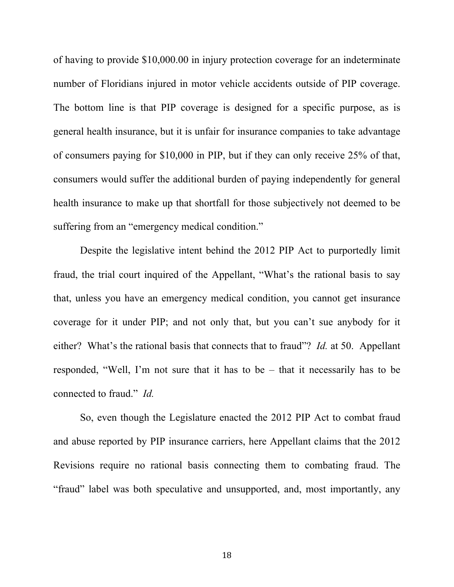of having to provide \$10,000.00 in injury protection coverage for an indeterminate number of Floridians injured in motor vehicle accidents outside of PIP coverage. The bottom line is that PIP coverage is designed for a specific purpose, as is general health insurance, but it is unfair for insurance companies to take advantage of consumers paying for \$10,000 in PIP, but if they can only receive 25% of that, consumers would suffer the additional burden of paying independently for general health insurance to make up that shortfall for those subjectively not deemed to be suffering from an "emergency medical condition."

Despite the legislative intent behind the 2012 PIP Act to purportedly limit fraud, the trial court inquired of the Appellant, "What's the rational basis to say that, unless you have an emergency medical condition, you cannot get insurance coverage for it under PIP; and not only that, but you can't sue anybody for it either? What's the rational basis that connects that to fraud"? *Id.* at 50. Appellant responded, "Well, I'm not sure that it has to be – that it necessarily has to be connected to fraud." *Id.*

So, even though the Legislature enacted the 2012 PIP Act to combat fraud and abuse reported by PIP insurance carriers, here Appellant claims that the 2012 Revisions require no rational basis connecting them to combating fraud. The "fraud" label was both speculative and unsupported, and, most importantly, any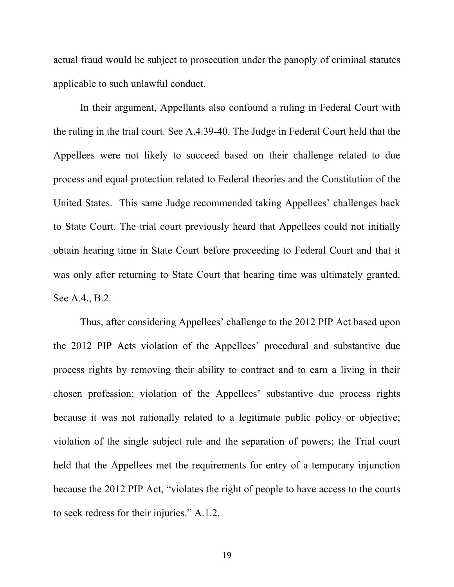actual fraud would be subject to prosecution under the panoply of criminal statutes applicable to such unlawful conduct.

In their argument, Appellants also confound a ruling in Federal Court with the ruling in the trial court. See A.4.39-40. The Judge in Federal Court held that the Appellees were not likely to succeed based on their challenge related to due process and equal protection related to Federal theories and the Constitution of the United States. This same Judge recommended taking Appellees' challenges back to State Court. The trial court previously heard that Appellees could not initially obtain hearing time in State Court before proceeding to Federal Court and that it was only after returning to State Court that hearing time was ultimately granted. See A.4., B.2.

Thus, after considering Appellees' challenge to the 2012 PIP Act based upon the 2012 PIP Acts violation of the Appellees' procedural and substantive due process rights by removing their ability to contract and to earn a living in their chosen profession; violation of the Appellees' substantive due process rights because it was not rationally related to a legitimate public policy or objective; violation of the single subject rule and the separation of powers; the Trial court held that the Appellees met the requirements for entry of a temporary injunction because the 2012 PIP Act, "violates the right of people to have access to the courts to seek redress for their injuries." A.1.2.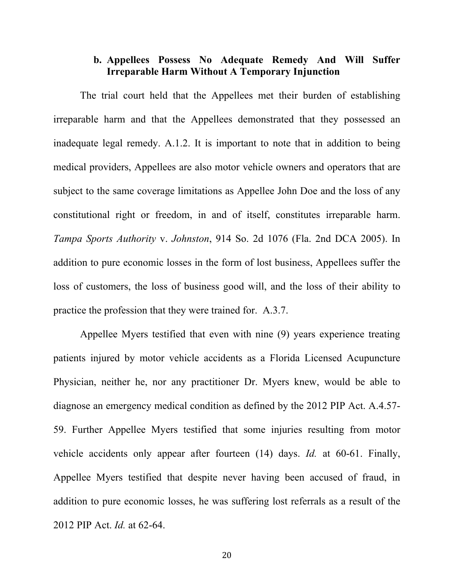## **b. Appellees Possess No Adequate Remedy And Will Suffer Irreparable Harm Without A Temporary Injunction**

The trial court held that the Appellees met their burden of establishing irreparable harm and that the Appellees demonstrated that they possessed an inadequate legal remedy. A.1.2. It is important to note that in addition to being medical providers, Appellees are also motor vehicle owners and operators that are subject to the same coverage limitations as Appellee John Doe and the loss of any constitutional right or freedom, in and of itself, constitutes irreparable harm. *Tampa Sports Authority* v. *Johnston*, 914 So. 2d 1076 (Fla. 2nd DCA 2005). In addition to pure economic losses in the form of lost business, Appellees suffer the loss of customers, the loss of business good will, and the loss of their ability to practice the profession that they were trained for. A.3.7.

Appellee Myers testified that even with nine (9) years experience treating patients injured by motor vehicle accidents as a Florida Licensed Acupuncture Physician, neither he, nor any practitioner Dr. Myers knew, would be able to diagnose an emergency medical condition as defined by the 2012 PIP Act. A.4.57- 59. Further Appellee Myers testified that some injuries resulting from motor vehicle accidents only appear after fourteen (14) days. *Id.* at 60-61. Finally, Appellee Myers testified that despite never having been accused of fraud, in addition to pure economic losses, he was suffering lost referrals as a result of the 2012 PIP Act. *Id.* at 62-64.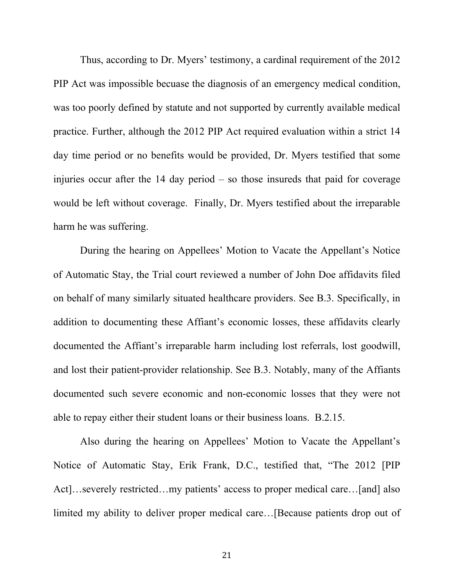Thus, according to Dr. Myers' testimony, a cardinal requirement of the 2012 PIP Act was impossible becuase the diagnosis of an emergency medical condition, was too poorly defined by statute and not supported by currently available medical practice. Further, although the 2012 PIP Act required evaluation within a strict 14 day time period or no benefits would be provided, Dr. Myers testified that some injuries occur after the 14 day period – so those insureds that paid for coverage would be left without coverage. Finally, Dr. Myers testified about the irreparable harm he was suffering.

During the hearing on Appellees' Motion to Vacate the Appellant's Notice of Automatic Stay, the Trial court reviewed a number of John Doe affidavits filed on behalf of many similarly situated healthcare providers. See B.3. Specifically, in addition to documenting these Affiant's economic losses, these affidavits clearly documented the Affiant's irreparable harm including lost referrals, lost goodwill, and lost their patient-provider relationship. See B.3. Notably, many of the Affiants documented such severe economic and non-economic losses that they were not able to repay either their student loans or their business loans. B.2.15.

Also during the hearing on Appellees' Motion to Vacate the Appellant's Notice of Automatic Stay, Erik Frank, D.C., testified that, "The 2012 [PIP Act]…severely restricted…my patients' access to proper medical care…[and] also limited my ability to deliver proper medical care…[Because patients drop out of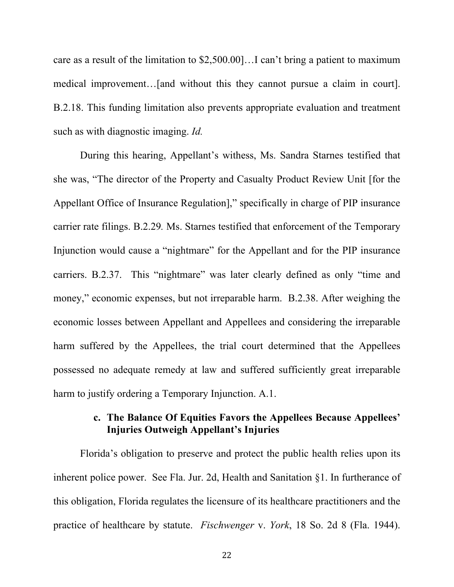care as a result of the limitation to \$2,500.00]…I can't bring a patient to maximum medical improvement…[and without this they cannot pursue a claim in court]. B.2.18. This funding limitation also prevents appropriate evaluation and treatment such as with diagnostic imaging. *Id.*

During this hearing, Appellant's withess, Ms. Sandra Starnes testified that she was, "The director of the Property and Casualty Product Review Unit [for the Appellant Office of Insurance Regulation]," specifically in charge of PIP insurance carrier rate filings. B.2.29*.* Ms. Starnes testified that enforcement of the Temporary Injunction would cause a "nightmare" for the Appellant and for the PIP insurance carriers. B.2.37. This "nightmare" was later clearly defined as only "time and money," economic expenses, but not irreparable harm. B.2.38. After weighing the economic losses between Appellant and Appellees and considering the irreparable harm suffered by the Appellees, the trial court determined that the Appellees possessed no adequate remedy at law and suffered sufficiently great irreparable harm to justify ordering a Temporary Injunction. A.1.

### **c. The Balance Of Equities Favors the Appellees Because Appellees' Injuries Outweigh Appellant's Injuries**

Florida's obligation to preserve and protect the public health relies upon its inherent police power. See Fla. Jur. 2d, Health and Sanitation §1. In furtherance of this obligation, Florida regulates the licensure of its healthcare practitioners and the practice of healthcare by statute. *Fischwenger* v. *York*, 18 So. 2d 8 (Fla. 1944).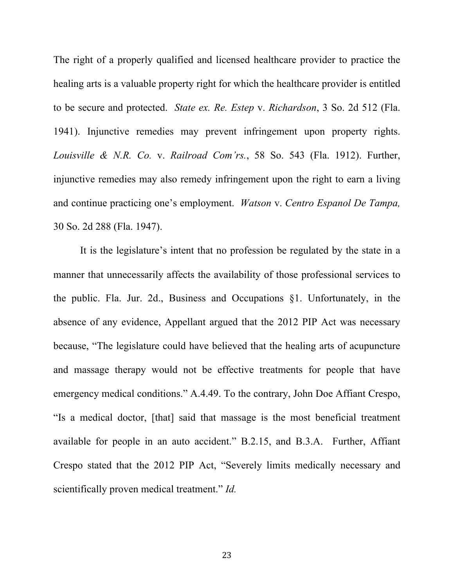The right of a properly qualified and licensed healthcare provider to practice the healing arts is a valuable property right for which the healthcare provider is entitled to be secure and protected. *State ex. Re. Estep* v. *Richardson*, 3 So. 2d 512 (Fla. 1941). Injunctive remedies may prevent infringement upon property rights. *Louisville & N.R. Co.* v. *Railroad Com'rs.*, 58 So. 543 (Fla. 1912). Further, injunctive remedies may also remedy infringement upon the right to earn a living and continue practicing one's employment. *Watson* v. *Centro Espanol De Tampa,*  30 So. 2d 288 (Fla. 1947).

It is the legislature's intent that no profession be regulated by the state in a manner that unnecessarily affects the availability of those professional services to the public. Fla. Jur. 2d., Business and Occupations §1. Unfortunately, in the absence of any evidence, Appellant argued that the 2012 PIP Act was necessary because, "The legislature could have believed that the healing arts of acupuncture and massage therapy would not be effective treatments for people that have emergency medical conditions." A.4.49. To the contrary, John Doe Affiant Crespo, "Is a medical doctor, [that] said that massage is the most beneficial treatment available for people in an auto accident." B.2.15, and B.3.A. Further, Affiant Crespo stated that the 2012 PIP Act, "Severely limits medically necessary and scientifically proven medical treatment." *Id.*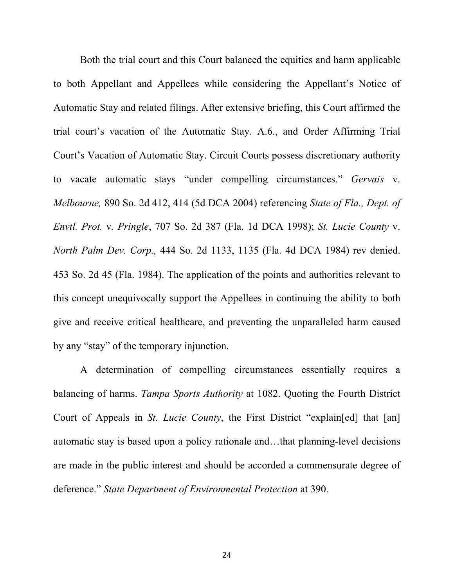Both the trial court and this Court balanced the equities and harm applicable to both Appellant and Appellees while considering the Appellant's Notice of Automatic Stay and related filings. After extensive briefing, this Court affirmed the trial court's vacation of the Automatic Stay. A.6., and Order Affirming Trial Court's Vacation of Automatic Stay. Circuit Courts possess discretionary authority to vacate automatic stays "under compelling circumstances." *Gervais* v. *Melbourne,* 890 So. 2d 412, 414 (5d DCA 2004) referencing *State of Fla., Dept. of Envtl. Prot.* v*. Pringle*, 707 So. 2d 387 (Fla. 1d DCA 1998); *St. Lucie County* v. *North Palm Dev. Corp.,* 444 So. 2d 1133, 1135 (Fla. 4d DCA 1984) rev denied. 453 So. 2d 45 (Fla. 1984). The application of the points and authorities relevant to this concept unequivocally support the Appellees in continuing the ability to both give and receive critical healthcare, and preventing the unparalleled harm caused by any "stay" of the temporary injunction.

A determination of compelling circumstances essentially requires a balancing of harms. *Tampa Sports Authority* at 1082. Quoting the Fourth District Court of Appeals in *St. Lucie County*, the First District "explain[ed] that [an] automatic stay is based upon a policy rationale and…that planning-level decisions are made in the public interest and should be accorded a commensurate degree of deference." *State Department of Environmental Protection* at 390.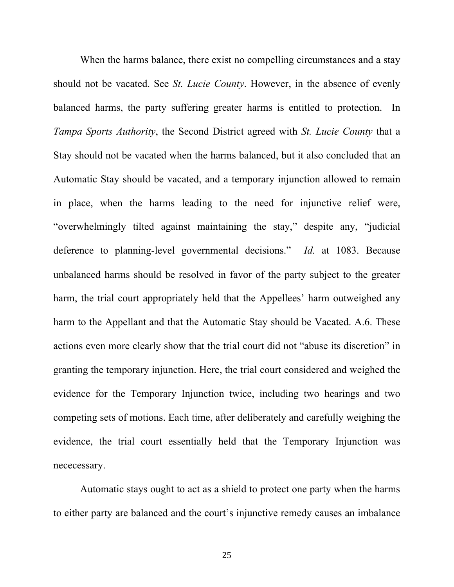When the harms balance, there exist no compelling circumstances and a stay should not be vacated. See *St. Lucie County*. However, in the absence of evenly balanced harms, the party suffering greater harms is entitled to protection. In *Tampa Sports Authority*, the Second District agreed with *St. Lucie County* that a Stay should not be vacated when the harms balanced, but it also concluded that an Automatic Stay should be vacated, and a temporary injunction allowed to remain in place, when the harms leading to the need for injunctive relief were, "overwhelmingly tilted against maintaining the stay," despite any, "judicial deference to planning-level governmental decisions." *Id.* at 1083. Because unbalanced harms should be resolved in favor of the party subject to the greater harm, the trial court appropriately held that the Appellees' harm outweighed any harm to the Appellant and that the Automatic Stay should be Vacated. A.6. These actions even more clearly show that the trial court did not "abuse its discretion" in granting the temporary injunction. Here, the trial court considered and weighed the evidence for the Temporary Injunction twice, including two hearings and two competing sets of motions. Each time, after deliberately and carefully weighing the evidence, the trial court essentially held that the Temporary Injunction was nececessary.

Automatic stays ought to act as a shield to protect one party when the harms to either party are balanced and the court's injunctive remedy causes an imbalance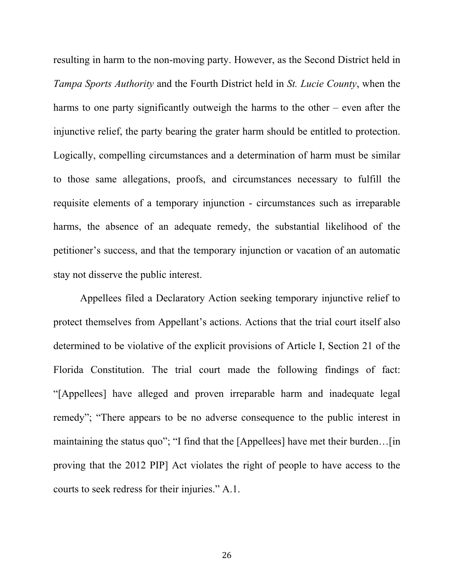resulting in harm to the non-moving party. However, as the Second District held in *Tampa Sports Authority* and the Fourth District held in *St. Lucie County*, when the harms to one party significantly outweigh the harms to the other – even after the injunctive relief, the party bearing the grater harm should be entitled to protection. Logically, compelling circumstances and a determination of harm must be similar to those same allegations, proofs, and circumstances necessary to fulfill the requisite elements of a temporary injunction - circumstances such as irreparable harms, the absence of an adequate remedy, the substantial likelihood of the petitioner's success, and that the temporary injunction or vacation of an automatic stay not disserve the public interest.

Appellees filed a Declaratory Action seeking temporary injunctive relief to protect themselves from Appellant's actions. Actions that the trial court itself also determined to be violative of the explicit provisions of Article I, Section 21 of the Florida Constitution. The trial court made the following findings of fact: "[Appellees] have alleged and proven irreparable harm and inadequate legal remedy"; "There appears to be no adverse consequence to the public interest in maintaining the status quo"; "I find that the [Appellees] have met their burden…[in proving that the 2012 PIP] Act violates the right of people to have access to the courts to seek redress for their injuries." A.1.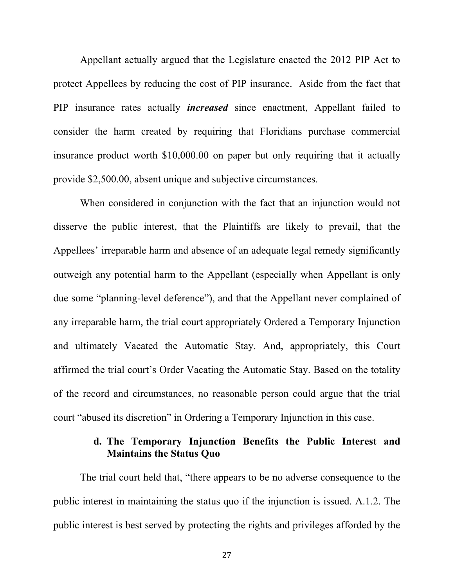Appellant actually argued that the Legislature enacted the 2012 PIP Act to protect Appellees by reducing the cost of PIP insurance. Aside from the fact that PIP insurance rates actually *increased* since enactment, Appellant failed to consider the harm created by requiring that Floridians purchase commercial insurance product worth \$10,000.00 on paper but only requiring that it actually provide \$2,500.00, absent unique and subjective circumstances.

When considered in conjunction with the fact that an injunction would not disserve the public interest, that the Plaintiffs are likely to prevail, that the Appellees' irreparable harm and absence of an adequate legal remedy significantly outweigh any potential harm to the Appellant (especially when Appellant is only due some "planning-level deference"), and that the Appellant never complained of any irreparable harm, the trial court appropriately Ordered a Temporary Injunction and ultimately Vacated the Automatic Stay. And, appropriately, this Court affirmed the trial court's Order Vacating the Automatic Stay. Based on the totality of the record and circumstances, no reasonable person could argue that the trial court "abused its discretion" in Ordering a Temporary Injunction in this case.

# **d. The Temporary Injunction Benefits the Public Interest and Maintains the Status Quo**

The trial court held that, "there appears to be no adverse consequence to the public interest in maintaining the status quo if the injunction is issued. A.1.2. The public interest is best served by protecting the rights and privileges afforded by the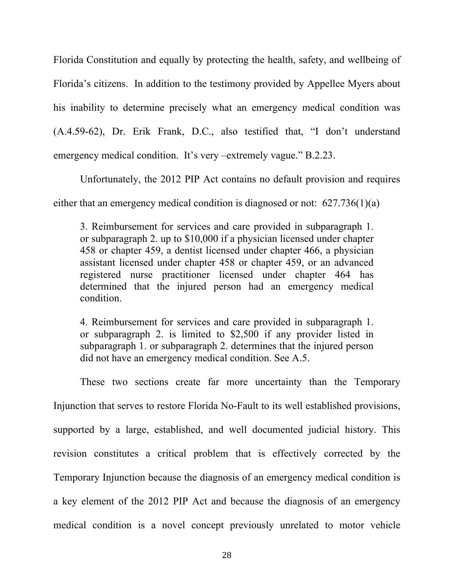Florida Constitution and equally by protecting the health, safety, and wellbeing of Florida's citizens. In addition to the testimony provided by Appellee Myers about his inability to determine precisely what an emergency medical condition was (A.4.59-62), Dr. Erik Frank, D.C., also testified that, "I don't understand emergency medical condition. It's very –extremely vague." B.2.23.

Unfortunately, the 2012 PIP Act contains no default provision and requires either that an emergency medical condition is diagnosed or not: 627.736(1)(a)

3. Reimbursement for services and care provided in subparagraph 1. or subparagraph 2. up to \$10,000 if a physician licensed under chapter 458 or chapter 459, a dentist licensed under chapter 466, a physician assistant licensed under chapter 458 or chapter 459, or an advanced registered nurse practitioner licensed under chapter 464 has determined that the injured person had an emergency medical condition.

4. Reimbursement for services and care provided in subparagraph 1. or subparagraph 2. is limited to \$2,500 if any provider listed in subparagraph 1. or subparagraph 2. determines that the injured person did not have an emergency medical condition. See A.5.

These two sections create far more uncertainty than the Temporary Injunction that serves to restore Florida No-Fault to its well established provisions, supported by a large, established, and well documented judicial history. This revision constitutes a critical problem that is effectively corrected by the Temporary Injunction because the diagnosis of an emergency medical condition is a key element of the 2012 PIP Act and because the diagnosis of an emergency medical condition is a novel concept previously unrelated to motor vehicle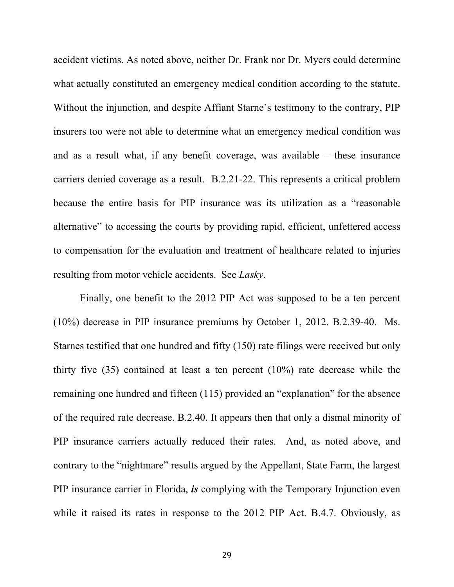accident victims. As noted above, neither Dr. Frank nor Dr. Myers could determine what actually constituted an emergency medical condition according to the statute. Without the injunction, and despite Affiant Starne's testimony to the contrary, PIP insurers too were not able to determine what an emergency medical condition was and as a result what, if any benefit coverage, was available – these insurance carriers denied coverage as a result. B.2.21-22. This represents a critical problem because the entire basis for PIP insurance was its utilization as a "reasonable alternative" to accessing the courts by providing rapid, efficient, unfettered access to compensation for the evaluation and treatment of healthcare related to injuries resulting from motor vehicle accidents. See *Lasky*.

Finally, one benefit to the 2012 PIP Act was supposed to be a ten percent (10%) decrease in PIP insurance premiums by October 1, 2012. B.2.39-40. Ms. Starnes testified that one hundred and fifty (150) rate filings were received but only thirty five (35) contained at least a ten percent (10%) rate decrease while the remaining one hundred and fifteen (115) provided an "explanation" for the absence of the required rate decrease. B.2.40. It appears then that only a dismal minority of PIP insurance carriers actually reduced their rates. And, as noted above, and contrary to the "nightmare" results argued by the Appellant, State Farm, the largest PIP insurance carrier in Florida, *is* complying with the Temporary Injunction even while it raised its rates in response to the 2012 PIP Act. B.4.7. Obviously, as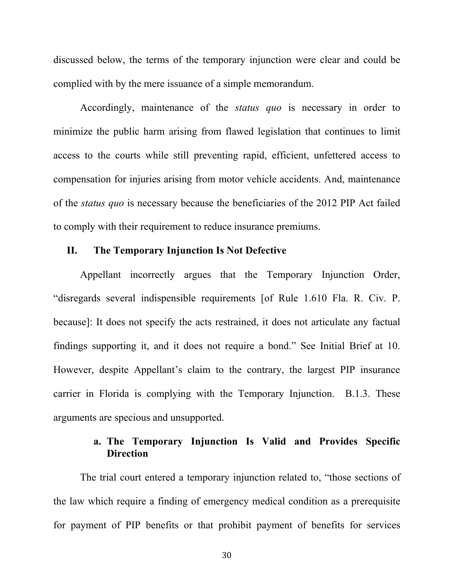discussed below, the terms of the temporary injunction were clear and could be complied with by the mere issuance of a simple memorandum.

Accordingly, maintenance of the *status quo* is necessary in order to minimize the public harm arising from flawed legislation that continues to limit access to the courts while still preventing rapid, efficient, unfettered access to compensation for injuries arising from motor vehicle accidents. And, maintenance of the *status quo* is necessary because the beneficiaries of the 2012 PIP Act failed to comply with their requirement to reduce insurance premiums.

#### **II. The Temporary Injunction Is Not Defective**

Appellant incorrectly argues that the Temporary Injunction Order, "disregards several indispensible requirements [of Rule 1.610 Fla. R. Civ. P. because]: It does not specify the acts restrained, it does not articulate any factual findings supporting it, and it does not require a bond." See Initial Brief at 10. However, despite Appellant's claim to the contrary, the largest PIP insurance carrier in Florida is complying with the Temporary Injunction. B.1.3. These arguments are specious and unsupported.

# **a. The Temporary Injunction Is Valid and Provides Specific Direction**

The trial court entered a temporary injunction related to, "those sections of the law which require a finding of emergency medical condition as a prerequisite for payment of PIP benefits or that prohibit payment of benefits for services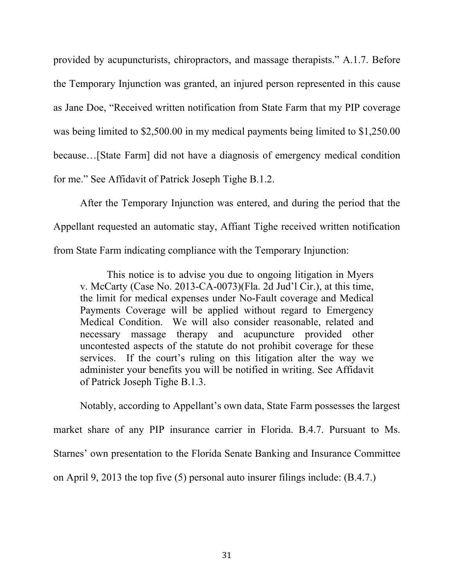provided by acupuncturists, chiropractors, and massage therapists." A.1.7. Before the Temporary Injunction was granted, an injured person represented in this cause as Jane Doe, "Received written notification from State Farm that my PIP coverage was being limited to \$2,500.00 in my medical payments being limited to \$1,250.00 because…[State Farm] did not have a diagnosis of emergency medical condition for me." See Affidavit of Patrick Joseph Tighe B.1.2.

After the Temporary Injunction was entered, and during the period that the Appellant requested an automatic stay, Affiant Tighe received written notification from State Farm indicating compliance with the Temporary Injunction:

This notice is to advise you due to ongoing litigation in Myers v. McCarty (Case No. 2013-CA-0073)(Fla. 2d Jud'l Cir.), at this time, the limit for medical expenses under No-Fault coverage and Medical Payments Coverage will be applied without regard to Emergency Medical Condition. We will also consider reasonable, related and necessary massage therapy and acupuncture provided other uncontested aspects of the statute do not prohibit coverage for these services. If the court's ruling on this litigation alter the way we administer your benefits you will be notified in writing. See Affidavit of Patrick Joseph Tighe B.1.3.

Notably, according to Appellant's own data, State Farm possesses the largest market share of any PIP insurance carrier in Florida. B.4.7. Pursuant to Ms. Starnes' own presentation to the Florida Senate Banking and Insurance Committee on April 9, 2013 the top five (5) personal auto insurer filings include: (B.4.7.)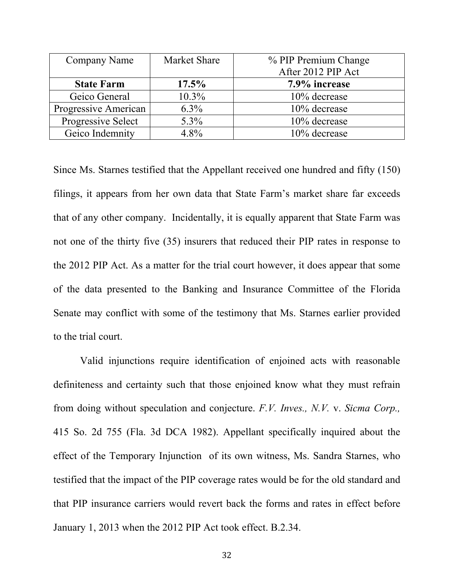| Company Name         | <b>Market Share</b> | % PIP Premium Change |
|----------------------|---------------------|----------------------|
|                      |                     | After 2012 PIP Act   |
| <b>State Farm</b>    | 17.5%               | 7.9% increase        |
| Geico General        | 10.3%               | 10% decrease         |
| Progressive American | $6.3\%$             | 10% decrease         |
| Progressive Select   | 5.3%                | 10% decrease         |
| Geico Indemnity      | 4.8%                | 10% decrease         |

Since Ms. Starnes testified that the Appellant received one hundred and fifty (150) filings, it appears from her own data that State Farm's market share far exceeds that of any other company. Incidentally, it is equally apparent that State Farm was not one of the thirty five (35) insurers that reduced their PIP rates in response to the 2012 PIP Act. As a matter for the trial court however, it does appear that some of the data presented to the Banking and Insurance Committee of the Florida Senate may conflict with some of the testimony that Ms. Starnes earlier provided to the trial court.

Valid injunctions require identification of enjoined acts with reasonable definiteness and certainty such that those enjoined know what they must refrain from doing without speculation and conjecture. *F.V. Inves., N.V.* v. *Sicma Corp.,* 415 So. 2d 755 (Fla. 3d DCA 1982). Appellant specifically inquired about the effect of the Temporary Injunction of its own witness, Ms. Sandra Starnes, who testified that the impact of the PIP coverage rates would be for the old standard and that PIP insurance carriers would revert back the forms and rates in effect before January 1, 2013 when the 2012 PIP Act took effect. B.2.34.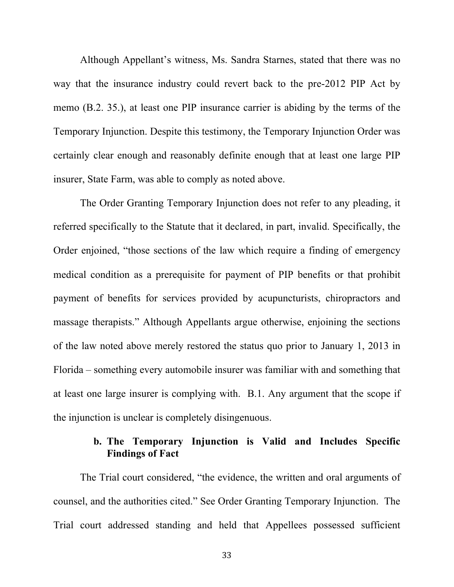Although Appellant's witness, Ms. Sandra Starnes, stated that there was no way that the insurance industry could revert back to the pre-2012 PIP Act by memo (B.2. 35.), at least one PIP insurance carrier is abiding by the terms of the Temporary Injunction. Despite this testimony, the Temporary Injunction Order was certainly clear enough and reasonably definite enough that at least one large PIP insurer, State Farm, was able to comply as noted above.

The Order Granting Temporary Injunction does not refer to any pleading, it referred specifically to the Statute that it declared, in part, invalid. Specifically, the Order enjoined, "those sections of the law which require a finding of emergency medical condition as a prerequisite for payment of PIP benefits or that prohibit payment of benefits for services provided by acupuncturists, chiropractors and massage therapists." Although Appellants argue otherwise, enjoining the sections of the law noted above merely restored the status quo prior to January 1, 2013 in Florida – something every automobile insurer was familiar with and something that at least one large insurer is complying with. B.1. Any argument that the scope if the injunction is unclear is completely disingenuous.

# **b. The Temporary Injunction is Valid and Includes Specific Findings of Fact**

The Trial court considered, "the evidence, the written and oral arguments of counsel, and the authorities cited." See Order Granting Temporary Injunction. The Trial court addressed standing and held that Appellees possessed sufficient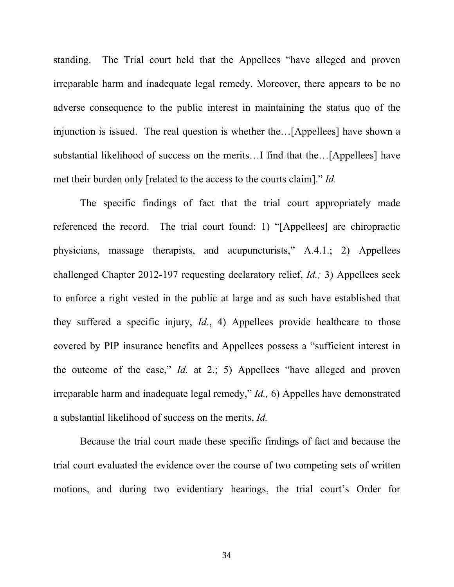standing. The Trial court held that the Appellees "have alleged and proven irreparable harm and inadequate legal remedy. Moreover, there appears to be no adverse consequence to the public interest in maintaining the status quo of the injunction is issued. The real question is whether the…[Appellees] have shown a substantial likelihood of success on the merits…I find that the…[Appellees] have met their burden only [related to the access to the courts claim]." *Id.*

The specific findings of fact that the trial court appropriately made referenced the record. The trial court found: 1) "[Appellees] are chiropractic physicians, massage therapists, and acupuncturists," A.4.1.; 2) Appellees challenged Chapter 2012-197 requesting declaratory relief, *Id.;* 3) Appellees seek to enforce a right vested in the public at large and as such have established that they suffered a specific injury, *Id*., 4) Appellees provide healthcare to those covered by PIP insurance benefits and Appellees possess a "sufficient interest in the outcome of the case," *Id.* at 2.; 5) Appellees "have alleged and proven irreparable harm and inadequate legal remedy," *Id.,* 6) Appelles have demonstrated a substantial likelihood of success on the merits, *Id.*

Because the trial court made these specific findings of fact and because the trial court evaluated the evidence over the course of two competing sets of written motions, and during two evidentiary hearings, the trial court's Order for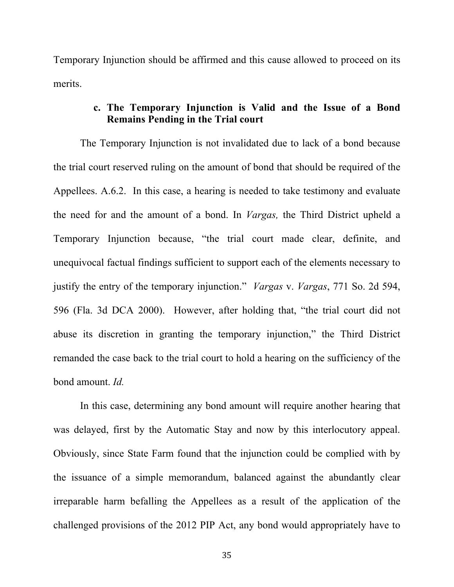Temporary Injunction should be affirmed and this cause allowed to proceed on its merits.

### **c. The Temporary Injunction is Valid and the Issue of a Bond Remains Pending in the Trial court**

The Temporary Injunction is not invalidated due to lack of a bond because the trial court reserved ruling on the amount of bond that should be required of the Appellees. A.6.2. In this case, a hearing is needed to take testimony and evaluate the need for and the amount of a bond. In *Vargas,* the Third District upheld a Temporary Injunction because, "the trial court made clear, definite, and unequivocal factual findings sufficient to support each of the elements necessary to justify the entry of the temporary injunction." *Vargas* v. *Vargas*, 771 So. 2d 594, 596 (Fla. 3d DCA 2000). However, after holding that, "the trial court did not abuse its discretion in granting the temporary injunction," the Third District remanded the case back to the trial court to hold a hearing on the sufficiency of the bond amount. *Id.*

In this case, determining any bond amount will require another hearing that was delayed, first by the Automatic Stay and now by this interlocutory appeal. Obviously, since State Farm found that the injunction could be complied with by the issuance of a simple memorandum, balanced against the abundantly clear irreparable harm befalling the Appellees as a result of the application of the challenged provisions of the 2012 PIP Act, any bond would appropriately have to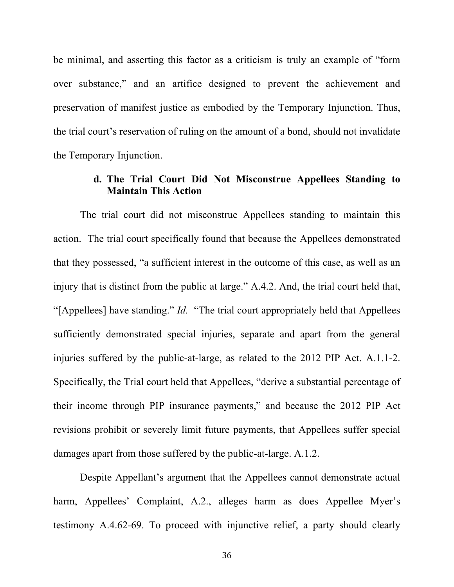be minimal, and asserting this factor as a criticism is truly an example of "form over substance," and an artifice designed to prevent the achievement and preservation of manifest justice as embodied by the Temporary Injunction. Thus, the trial court's reservation of ruling on the amount of a bond, should not invalidate the Temporary Injunction.

### **d. The Trial Court Did Not Misconstrue Appellees Standing to Maintain This Action**

The trial court did not misconstrue Appellees standing to maintain this action. The trial court specifically found that because the Appellees demonstrated that they possessed, "a sufficient interest in the outcome of this case, as well as an injury that is distinct from the public at large." A.4.2. And, the trial court held that, "[Appellees] have standing." *Id.* "The trial court appropriately held that Appellees sufficiently demonstrated special injuries, separate and apart from the general injuries suffered by the public-at-large, as related to the 2012 PIP Act. A.1.1-2. Specifically, the Trial court held that Appellees, "derive a substantial percentage of their income through PIP insurance payments," and because the 2012 PIP Act revisions prohibit or severely limit future payments, that Appellees suffer special damages apart from those suffered by the public-at-large. A.1.2.

Despite Appellant's argument that the Appellees cannot demonstrate actual harm, Appellees' Complaint, A.2., alleges harm as does Appellee Myer's testimony A.4.62-69. To proceed with injunctive relief, a party should clearly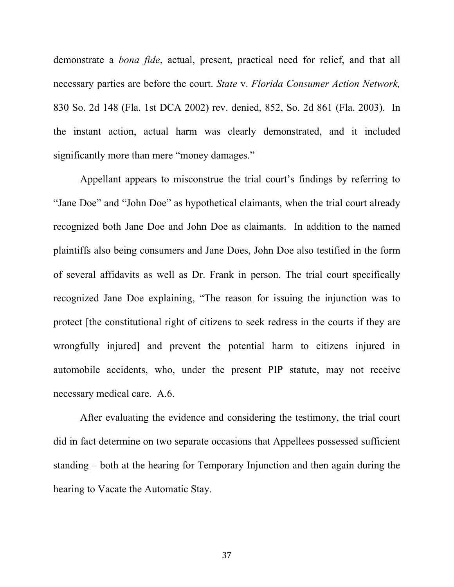demonstrate a *bona fide*, actual, present, practical need for relief, and that all necessary parties are before the court. *State* v. *Florida Consumer Action Network,*  830 So. 2d 148 (Fla. 1st DCA 2002) rev. denied, 852, So. 2d 861 (Fla. 2003). In the instant action, actual harm was clearly demonstrated, and it included significantly more than mere "money damages."

Appellant appears to misconstrue the trial court's findings by referring to "Jane Doe" and "John Doe" as hypothetical claimants, when the trial court already recognized both Jane Doe and John Doe as claimants. In addition to the named plaintiffs also being consumers and Jane Does, John Doe also testified in the form of several affidavits as well as Dr. Frank in person. The trial court specifically recognized Jane Doe explaining, "The reason for issuing the injunction was to protect [the constitutional right of citizens to seek redress in the courts if they are wrongfully injured] and prevent the potential harm to citizens injured in automobile accidents, who, under the present PIP statute, may not receive necessary medical care. A.6.

After evaluating the evidence and considering the testimony, the trial court did in fact determine on two separate occasions that Appellees possessed sufficient standing – both at the hearing for Temporary Injunction and then again during the hearing to Vacate the Automatic Stay.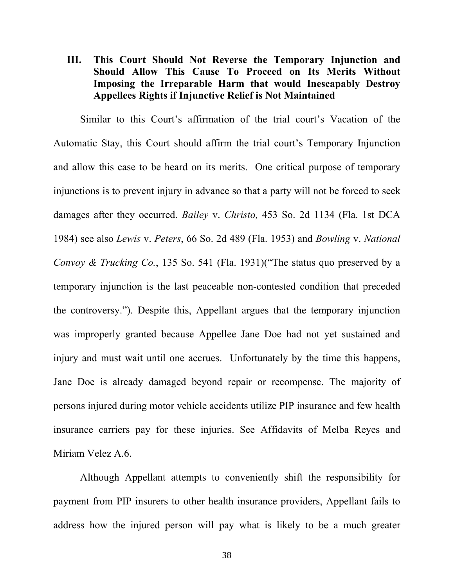## **III. This Court Should Not Reverse the Temporary Injunction and Should Allow This Cause To Proceed on Its Merits Without Imposing the Irreparable Harm that would Inescapably Destroy Appellees Rights if Injunctive Relief is Not Maintained**

Similar to this Court's affirmation of the trial court's Vacation of the Automatic Stay, this Court should affirm the trial court's Temporary Injunction and allow this case to be heard on its merits. One critical purpose of temporary injunctions is to prevent injury in advance so that a party will not be forced to seek damages after they occurred. *Bailey* v. *Christo,* 453 So. 2d 1134 (Fla. 1st DCA 1984) see also *Lewis* v. *Peters*, 66 So. 2d 489 (Fla. 1953) and *Bowling* v. *National Convoy & Trucking Co.*, 135 So. 541 (Fla. 1931)("The status quo preserved by a temporary injunction is the last peaceable non-contested condition that preceded the controversy."). Despite this, Appellant argues that the temporary injunction was improperly granted because Appellee Jane Doe had not yet sustained and injury and must wait until one accrues. Unfortunately by the time this happens, Jane Doe is already damaged beyond repair or recompense. The majority of persons injured during motor vehicle accidents utilize PIP insurance and few health insurance carriers pay for these injuries. See Affidavits of Melba Reyes and Miriam Velez A.6.

Although Appellant attempts to conveniently shift the responsibility for payment from PIP insurers to other health insurance providers, Appellant fails to address how the injured person will pay what is likely to be a much greater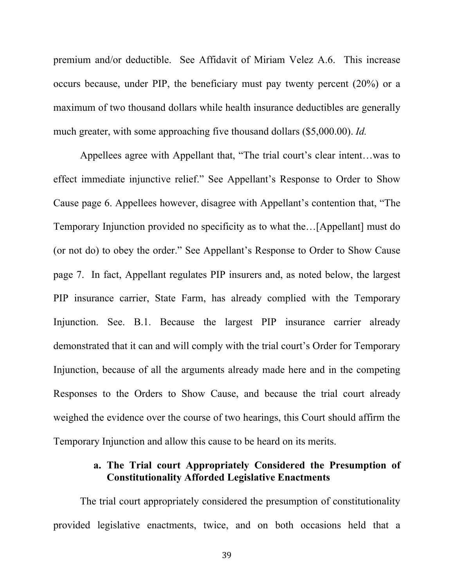premium and/or deductible. See Affidavit of Miriam Velez A.6. This increase occurs because, under PIP, the beneficiary must pay twenty percent (20%) or a maximum of two thousand dollars while health insurance deductibles are generally much greater, with some approaching five thousand dollars (\$5,000.00). *Id.*

Appellees agree with Appellant that, "The trial court's clear intent…was to effect immediate injunctive relief." See Appellant's Response to Order to Show Cause page 6. Appellees however, disagree with Appellant's contention that, "The Temporary Injunction provided no specificity as to what the…[Appellant] must do (or not do) to obey the order." See Appellant's Response to Order to Show Cause page 7. In fact, Appellant regulates PIP insurers and, as noted below, the largest PIP insurance carrier, State Farm, has already complied with the Temporary Injunction. See. B.1. Because the largest PIP insurance carrier already demonstrated that it can and will comply with the trial court's Order for Temporary Injunction, because of all the arguments already made here and in the competing Responses to the Orders to Show Cause, and because the trial court already weighed the evidence over the course of two hearings, this Court should affirm the Temporary Injunction and allow this cause to be heard on its merits.

### **a. The Trial court Appropriately Considered the Presumption of Constitutionality Afforded Legislative Enactments**

The trial court appropriately considered the presumption of constitutionality provided legislative enactments, twice, and on both occasions held that a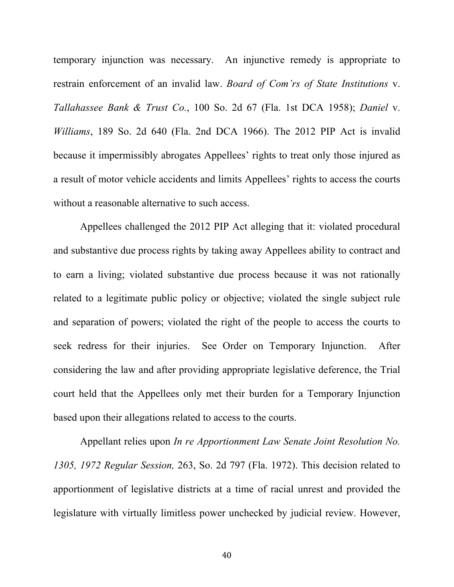temporary injunction was necessary. An injunctive remedy is appropriate to restrain enforcement of an invalid law. *Board of Com'rs of State Institutions* v. *Tallahassee Bank & Trust Co.*, 100 So. 2d 67 (Fla. 1st DCA 1958); *Daniel* v. *Williams*, 189 So. 2d 640 (Fla. 2nd DCA 1966). The 2012 PIP Act is invalid because it impermissibly abrogates Appellees' rights to treat only those injured as a result of motor vehicle accidents and limits Appellees' rights to access the courts without a reasonable alternative to such access.

Appellees challenged the 2012 PIP Act alleging that it: violated procedural and substantive due process rights by taking away Appellees ability to contract and to earn a living; violated substantive due process because it was not rationally related to a legitimate public policy or objective; violated the single subject rule and separation of powers; violated the right of the people to access the courts to seek redress for their injuries. See Order on Temporary Injunction. After considering the law and after providing appropriate legislative deference, the Trial court held that the Appellees only met their burden for a Temporary Injunction based upon their allegations related to access to the courts.

Appellant relies upon *In re Apportionment Law Senate Joint Resolution No. 1305, 1972 Regular Session,* 263, So. 2d 797 (Fla. 1972). This decision related to apportionment of legislative districts at a time of racial unrest and provided the legislature with virtually limitless power unchecked by judicial review. However,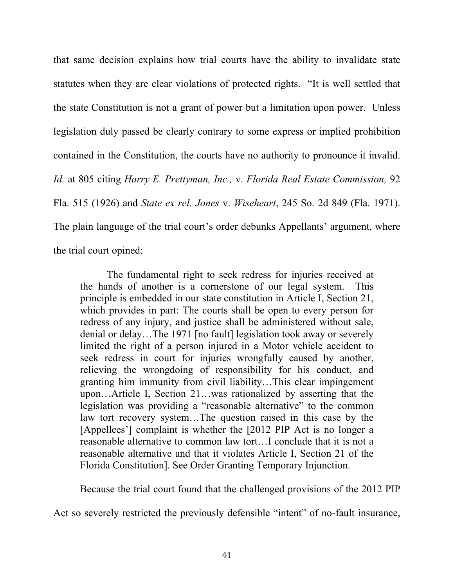that same decision explains how trial courts have the ability to invalidate state statutes when they are clear violations of protected rights. "It is well settled that the state Constitution is not a grant of power but a limitation upon power. Unless legislation duly passed be clearly contrary to some express or implied prohibition contained in the Constitution, the courts have no authority to pronounce it invalid. *Id.* at 805 citing *Harry E. Prettyman, Inc.,* v. *Florida Real Estate Commission,* 92 Fla. 515 (1926) and *State ex rel. Jones* v. *Wiseheart*, 245 So. 2d 849 (Fla. 1971). The plain language of the trial court's order debunks Appellants' argument, where the trial court opined:

The fundamental right to seek redress for injuries received at the hands of another is a cornerstone of our legal system. This principle is embedded in our state constitution in Article I, Section 21, which provides in part: The courts shall be open to every person for redress of any injury, and justice shall be administered without sale, denial or delay…The 1971 [no fault] legislation took away or severely limited the right of a person injured in a Motor vehicle accident to seek redress in court for injuries wrongfully caused by another, relieving the wrongdoing of responsibility for his conduct, and granting him immunity from civil liability…This clear impingement upon…Article I, Section 21…was rationalized by asserting that the legislation was providing a "reasonable alternative" to the common law tort recovery system…The question raised in this case by the [Appellees'] complaint is whether the [2012 PIP Act is no longer a reasonable alternative to common law tort…I conclude that it is not a reasonable alternative and that it violates Article I, Section 21 of the Florida Constitution]. See Order Granting Temporary Injunction.

Because the trial court found that the challenged provisions of the 2012 PIP

Act so severely restricted the previously defensible "intent" of no-fault insurance,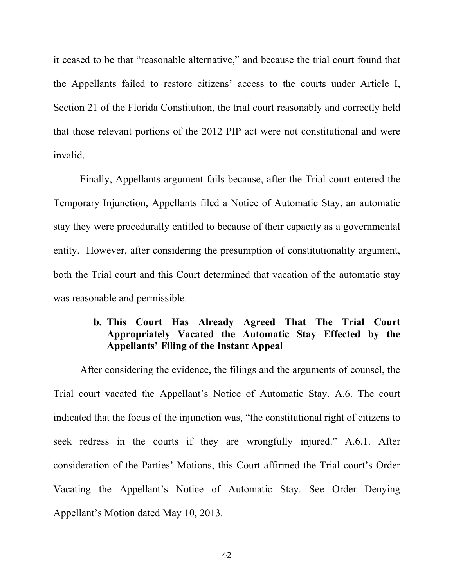it ceased to be that "reasonable alternative," and because the trial court found that the Appellants failed to restore citizens' access to the courts under Article I, Section 21 of the Florida Constitution, the trial court reasonably and correctly held that those relevant portions of the 2012 PIP act were not constitutional and were invalid.

Finally, Appellants argument fails because, after the Trial court entered the Temporary Injunction, Appellants filed a Notice of Automatic Stay, an automatic stay they were procedurally entitled to because of their capacity as a governmental entity. However, after considering the presumption of constitutionality argument, both the Trial court and this Court determined that vacation of the automatic stay was reasonable and permissible.

# **b. This Court Has Already Agreed That The Trial Court Appropriately Vacated the Automatic Stay Effected by the Appellants' Filing of the Instant Appeal**

After considering the evidence, the filings and the arguments of counsel, the Trial court vacated the Appellant's Notice of Automatic Stay. A.6. The court indicated that the focus of the injunction was, "the constitutional right of citizens to seek redress in the courts if they are wrongfully injured." A.6.1. After consideration of the Parties' Motions, this Court affirmed the Trial court's Order Vacating the Appellant's Notice of Automatic Stay. See Order Denying Appellant's Motion dated May 10, 2013.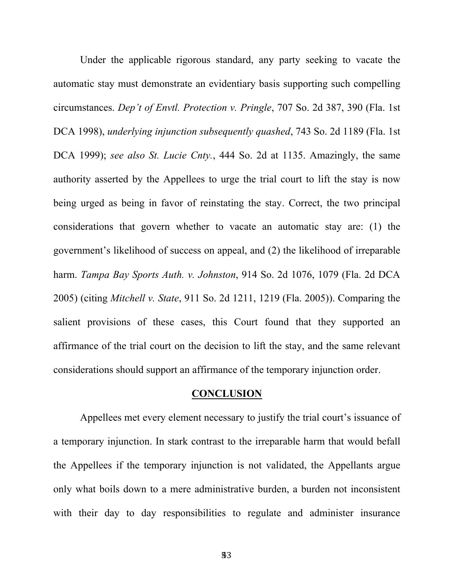Under the applicable rigorous standard, any party seeking to vacate the automatic stay must demonstrate an evidentiary basis supporting such compelling circumstances. *Dep't of Envtl. Protection v. Pringle*, 707 So. 2d 387, 390 (Fla. 1st DCA 1998), *underlying injunction subsequently quashed*, 743 So. 2d 1189 (Fla. 1st DCA 1999); *see also St. Lucie Cnty.*, 444 So. 2d at 1135. Amazingly, the same authority asserted by the Appellees to urge the trial court to lift the stay is now being urged as being in favor of reinstating the stay. Correct, the two principal considerations that govern whether to vacate an automatic stay are: (1) the government's likelihood of success on appeal, and (2) the likelihood of irreparable harm. *Tampa Bay Sports Auth. v. Johnston*, 914 So. 2d 1076, 1079 (Fla. 2d DCA 2005) (citing *Mitchell v. State*, 911 So. 2d 1211, 1219 (Fla. 2005)). Comparing the salient provisions of these cases, this Court found that they supported an affirmance of the trial court on the decision to lift the stay, and the same relevant considerations should support an affirmance of the temporary injunction order.

#### **CONCLUSION**

Appellees met every element necessary to justify the trial court's issuance of a temporary injunction. In stark contrast to the irreparable harm that would befall the Appellees if the temporary injunction is not validated, the Appellants argue only what boils down to a mere administrative burden, a burden not inconsistent with their day to day responsibilities to regulate and administer insurance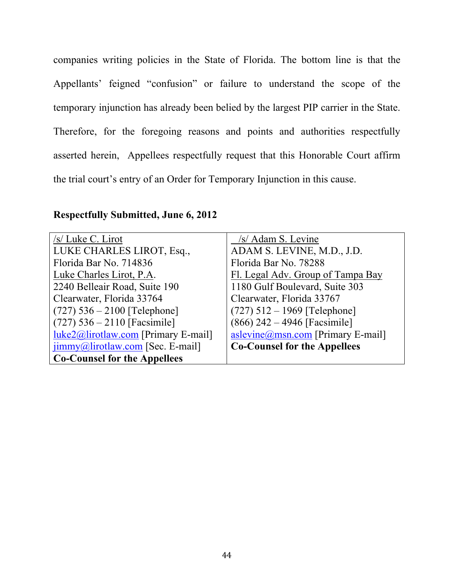companies writing policies in the State of Florida. The bottom line is that the Appellants' feigned "confusion" or failure to understand the scope of the temporary injunction has already been belied by the largest PIP carrier in the State. Therefore, for the foregoing reasons and points and authorities respectfully asserted herein, Appellees respectfully request that this Honorable Court affirm the trial court's entry of an Order for Temporary Injunction in this cause.

### **Respectfully Submitted, June 6, 2012**

| /s/ Luke C. Lirot                                     | /s/ Adam S. Levine                                 |
|-------------------------------------------------------|----------------------------------------------------|
| LUKE CHARLES LIROT, Esq.,                             | ADAM S. LEVINE, M.D., J.D.                         |
| Florida Bar No. 714836                                | Florida Bar No. 78288                              |
| Luke Charles Lirot, P.A.                              | Fl. Legal Adv. Group of Tampa Bay                  |
| 2240 Belleair Road, Suite 190                         | 1180 Gulf Boulevard, Suite 303                     |
| Clearwater, Florida 33764                             | Clearwater, Florida 33767                          |
| $(727)$ 536 – 2100 [Telephone]                        | $(727)$ 512 – 1969 [Telephone]                     |
| $(727)$ 536 – 2110 [Facsimile]                        | $(866)$ 242 – 4946 [Facsimile]                     |
| $luke2@lirotlaw.com$ [Primary E-mail]                 | $\alpha$ slevine $\omega$ msn.com [Primary E-mail] |
| $\overline{\text{jimmy}}$ @lirotlaw.com [Sec. E-mail] | <b>Co-Counsel for the Appellees</b>                |
| <b>Co-Counsel for the Appellees</b>                   |                                                    |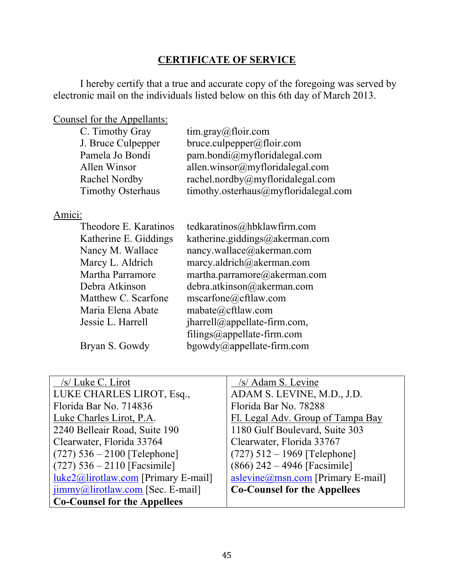# **CERTIFICATE OF SERVICE**

I hereby certify that a true and accurate copy of the foregoing was served by electronic mail on the individuals listed below on this 6th day of March 2013.

Counsel for the Appellants:

| C. Timothy Gray          | $\lim_{x \to \infty}$ and $\lim_{x \to \infty}$ and $\lim_{x \to \infty}$ |
|--------------------------|---------------------------------------------------------------------------|
| J. Bruce Culpepper       | bruce.culpepper@floir.com                                                 |
| Pamela Jo Bondi          | pam.bondi@myfloridalegal.com                                              |
| Allen Winsor             | allen.winsor@myfloridalegal.com                                           |
| Rachel Nordby            | rachel.nordby@myfloridalegal.com                                          |
| <b>Timothy Osterhaus</b> | timothy.osterhaus@myfloridalegal.com                                      |

### Amici:

| Theodore E. Karatinos | tedkaratinos@hbklawfirm.com                |
|-----------------------|--------------------------------------------|
| Katherine E. Giddings | katherine.giddings@akerman.com             |
| Nancy M. Wallace      | nancy.wallace@akerman.com                  |
| Marcy L. Aldrich      | marcy.aldrich@akerman.com                  |
| Martha Parramore      | martha.parramore@akerman.com               |
| Debra Atkinson        | debra.atkinson@akerman.com                 |
| Matthew C. Scarfone   | mscarfone@cftlaw.com                       |
| Maria Elena Abate     | mabate@cftlaw.com                          |
| Jessie L. Harrell     | $\frac{1}{2}$ iharrell@appellate-firm.com, |
|                       | filings@appellate-firm.com                 |
| Bryan S. Gowdy        | bgowdy@appellate-firm.com                  |

| /s/ Luke C. Lirot                                     | /s/ Adam S. Levine                  |
|-------------------------------------------------------|-------------------------------------|
| LUKE CHARLES LIROT, Esq.,                             | ADAM S. LEVINE, M.D., J.D.          |
| Florida Bar No. 714836                                | Florida Bar No. 78288               |
| Luke Charles Lirot, P.A.                              | Fl. Legal Adv. Group of Tampa Bay   |
| 2240 Belleair Road, Suite 190                         | 1180 Gulf Boulevard, Suite 303      |
| Clearwater, Florida 33764                             | Clearwater, Florida 33767           |
| $(727)$ 536 – 2100 [Telephone]                        | $(727)$ 512 – 1969 [Telephone]      |
| $(727)$ 536 – 2110 [Facsimile]                        | $(866)$ 242 – 4946 [Facsimile]      |
| $luke2@lirotlaw.com$ [Primary E-mail]                 | aslevine@msn.com [Primary E-mail]   |
| $\overline{\text{jimmy}}$ @lirotlaw.com [Sec. E-mail] | <b>Co-Counsel for the Appellees</b> |
| <b>Co-Counsel for the Appellees</b>                   |                                     |